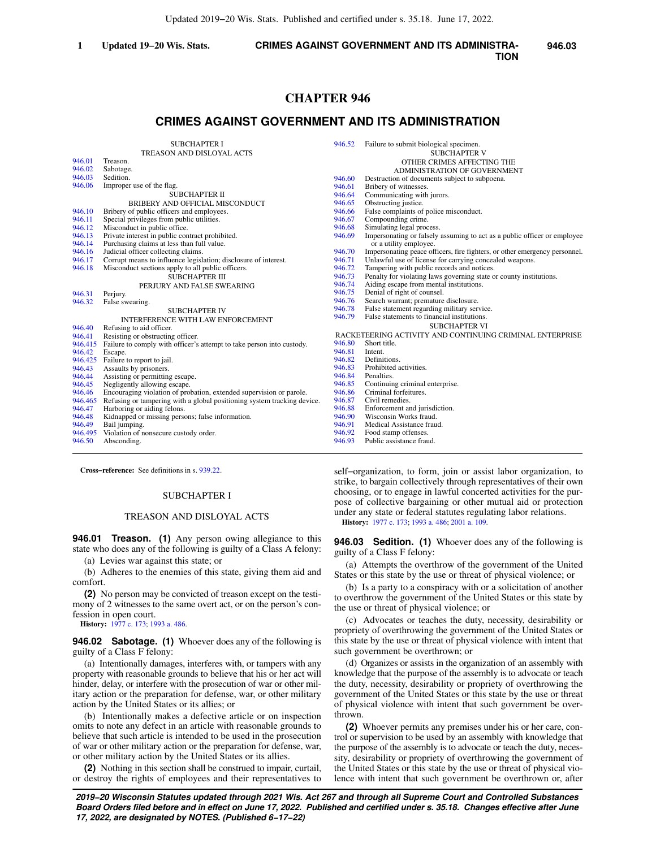**CRIMES AGAINST GOVERNMENT AND ITS ADMINISTRA-1 Updated 19−20 Wis. Stats. 946.03 TION**

# **CHAPTER 946**

# **CRIMES AGAINST GOVERNMENT AND ITS ADMINISTRATION**

|         | <b>SUBCHAPTER I</b>                                                     | 946.52 | Failure to submit biological specimen.                                     |
|---------|-------------------------------------------------------------------------|--------|----------------------------------------------------------------------------|
|         | TREASON AND DISLOYAL ACTS                                               |        | <b>SUBCHAPTER V</b>                                                        |
| 946.01  | Treason.                                                                |        | OTHER CRIMES AFFECTING THE                                                 |
| 946.02  | Sabotage.                                                               |        | ADMINISTRATION OF GOVERNMENT                                               |
| 946.03  | Sedition.                                                               | 946.60 | Destruction of documents subject to subpoena.                              |
| 946.06  | Improper use of the flag.                                               | 946.61 | Bribery of witnesses.                                                      |
|         | <b>SUBCHAPTER II</b>                                                    | 946.64 | Communicating with jurors.                                                 |
|         | BRIBERY AND OFFICIAL MISCONDUCT                                         | 946.65 | Obstructing justice.                                                       |
| 946.10  | Bribery of public officers and employees.                               | 946.66 | False complaints of police misconduct.                                     |
| 946.11  | Special privileges from public utilities.                               | 946.67 | Compounding crime.                                                         |
| 946.12  | Misconduct in public office.                                            | 946.68 | Simulating legal process.                                                  |
| 946.13  | Private interest in public contract prohibited.                         | 946.69 | Impersonating or falsely assuming to act as a public officer or employee   |
| 946.14  | Purchasing claims at less than full value.                              |        | or a utility employee.                                                     |
| 946.16  | Judicial officer collecting claims.                                     | 946.70 | Impersonating peace officers, fire fighters, or other emergency personnel. |
| 946.17  | Corrupt means to influence legislation; disclosure of interest.         | 946.71 | Unlawful use of license for carrying concealed weapons.                    |
| 946.18  | Misconduct sections apply to all public officers.                       | 946.72 | Tampering with public records and notices.                                 |
|         | <b>SUBCHAPTER III</b>                                                   | 946.73 | Penalty for violating laws governing state or county institutions.         |
|         | PERJURY AND FALSE SWEARING                                              | 946.74 | Aiding escape from mental institutions.                                    |
| 946.31  | Perjury.                                                                | 946.75 | Denial of right of counsel.                                                |
| 946.32  | False swearing.                                                         | 946.76 | Search warrant; premature disclosure.                                      |
|         | <b>SUBCHAPTER IV</b>                                                    | 946.78 | False statement regarding military service.                                |
|         | <b>INTERFERENCE WITH LAW ENFORCEMENT</b>                                | 946.79 | False statements to financial institutions.                                |
| 946.40  | Refusing to aid officer.                                                |        | <b>SUBCHAPTER VI</b>                                                       |
| 946.41  | Resisting or obstructing officer.                                       |        | RACKETEERING ACTIVITY AND CONTINUING CRIMINAL ENTERPRISE                   |
| 946.415 | Failure to comply with officer's attempt to take person into custody.   | 946.80 | Short title.                                                               |
| 946.42  | Escape.                                                                 | 946.81 | Intent.                                                                    |
| 946.425 | Failure to report to jail.                                              | 946.82 | Definitions.                                                               |
| 946.43  | Assaults by prisoners.                                                  | 946.83 | Prohibited activities.                                                     |
| 946.44  | Assisting or permitting escape.                                         | 946.84 | Penalties.                                                                 |
| 946.45  | Negligently allowing escape.                                            | 946.85 | Continuing criminal enterprise.                                            |
| 946.46  | Encouraging violation of probation, extended supervision or parole.     | 946.86 | Criminal forfeitures.                                                      |
| 946.465 | Refusing or tampering with a global positioning system tracking device. | 946.87 | Civil remedies.                                                            |
| 946.47  | Harboring or aiding felons.                                             | 946.88 | Enforcement and jurisdiction.                                              |
| 946.48  | Kidnapped or missing persons; false information.                        | 946.90 | Wisconsin Works fraud.                                                     |
| 946.49  | Bail jumping.                                                           | 946.91 | Medical Assistance fraud.                                                  |
| 946.495 | Violation of nonsecure custody order.                                   | 946.92 | Food stamp offenses.                                                       |
| 946.50  | Absconding.                                                             | 946.93 | Public assistance fraud.                                                   |

**Cross−reference:** See definitions in s. [939.22](https://docs.legis.wisconsin.gov/document/statutes/939.22).

#### SUBCHAPTER I

#### TREASON AND DISLOYAL ACTS

**946.01 Treason. (1)** Any person owing allegiance to this state who does any of the following is guilty of a Class A felony:

(a) Levies war against this state; or

(b) Adheres to the enemies of this state, giving them aid and comfort.

**(2)** No person may be convicted of treason except on the testimony of 2 witnesses to the same overt act, or on the person's confession in open court.

**History:** [1977 c. 173](https://docs.legis.wisconsin.gov/document/acts/1977/173); [1993 a. 486](https://docs.legis.wisconsin.gov/document/acts/1993/486).

**946.02 Sabotage. (1)** Whoever does any of the following is guilty of a Class F felony:

(a) Intentionally damages, interferes with, or tampers with any property with reasonable grounds to believe that his or her act will hinder, delay, or interfere with the prosecution of war or other military action or the preparation for defense, war, or other military action by the United States or its allies; or

(b) Intentionally makes a defective article or on inspection omits to note any defect in an article with reasonable grounds to believe that such article is intended to be used in the prosecution of war or other military action or the preparation for defense, war, or other military action by the United States or its allies.

**(2)** Nothing in this section shall be construed to impair, curtail, or destroy the rights of employees and their representatives to

self−organization, to form, join or assist labor organization, to strike, to bargain collectively through representatives of their own choosing, or to engage in lawful concerted activities for the purpose of collective bargaining or other mutual aid or protection under any state or federal statutes regulating labor relations. **History:** [1977 c. 173;](https://docs.legis.wisconsin.gov/document/acts/1977/173) [1993 a. 486](https://docs.legis.wisconsin.gov/document/acts/1993/486); [2001 a. 109.](https://docs.legis.wisconsin.gov/document/acts/2001/109)

**946.03 Sedition. (1)** Whoever does any of the following is guilty of a Class F felony:

(a) Attempts the overthrow of the government of the United States or this state by the use or threat of physical violence; or

(b) Is a party to a conspiracy with or a solicitation of another to overthrow the government of the United States or this state by the use or threat of physical violence; or

(c) Advocates or teaches the duty, necessity, desirability or propriety of overthrowing the government of the United States or this state by the use or threat of physical violence with intent that such government be overthrown; or

(d) Organizes or assists in the organization of an assembly with knowledge that the purpose of the assembly is to advocate or teach the duty, necessity, desirability or propriety of overthrowing the government of the United States or this state by the use or threat of physical violence with intent that such government be overthrown.

**(2)** Whoever permits any premises under his or her care, control or supervision to be used by an assembly with knowledge that the purpose of the assembly is to advocate or teach the duty, necessity, desirability or propriety of overthrowing the government of the United States or this state by the use or threat of physical violence with intent that such government be overthrown or, after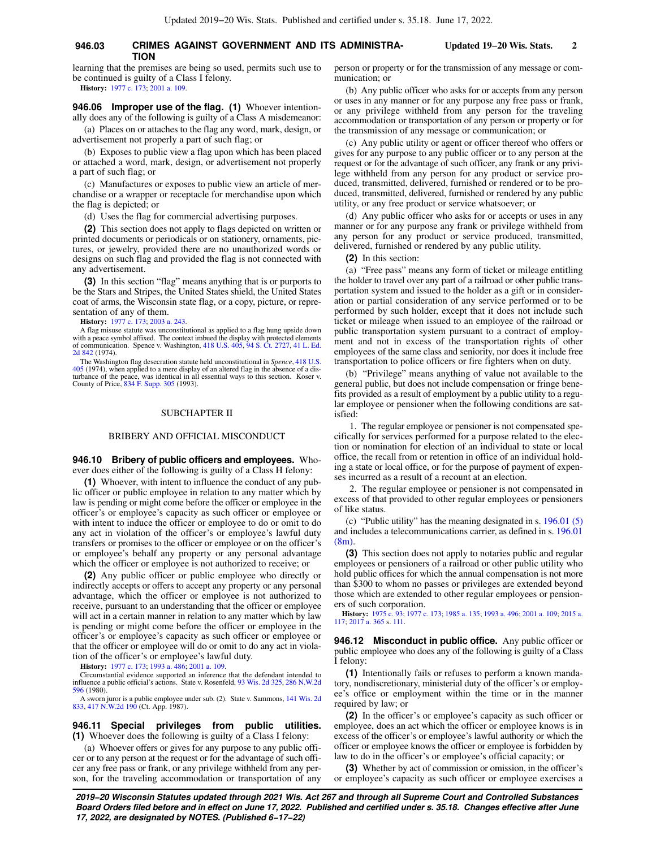#### **946.03 CRIMES AGAINST GOVERNMENT AND ITS ADMINISTRA- Updated 19−20 Wis. Stats. 2 TION**

learning that the premises are being so used, permits such use to be continued is guilty of a Class I felony.

**History:** [1977 c. 173](https://docs.legis.wisconsin.gov/document/acts/1977/173); [2001 a. 109](https://docs.legis.wisconsin.gov/document/acts/2001/109).

**946.06 Improper use of the flag. (1)** Whoever intentionally does any of the following is guilty of a Class A misdemeanor:

(a) Places on or attaches to the flag any word, mark, design, or advertisement not properly a part of such flag; or

(b) Exposes to public view a flag upon which has been placed or attached a word, mark, design, or advertisement not properly a part of such flag; or

(c) Manufactures or exposes to public view an article of merchandise or a wrapper or receptacle for merchandise upon which the flag is depicted; or

(d) Uses the flag for commercial advertising purposes.

**(2)** This section does not apply to flags depicted on written or printed documents or periodicals or on stationery, ornaments, pictures, or jewelry, provided there are no unauthorized words or designs on such flag and provided the flag is not connected with any advertisement.

**(3)** In this section "flag" means anything that is or purports to be the Stars and Stripes, the United States shield, the United States coat of arms, the Wisconsin state flag, or a copy, picture, or representation of any of them.

**History:** [1977 c. 173](https://docs.legis.wisconsin.gov/document/acts/1977/173); [2003 a. 243](https://docs.legis.wisconsin.gov/document/acts/2003/243).

A flag misuse statute was unconstitutional as applied to a flag hung upside down with a peace symbol affixed. The context imbued the display with protected elements of communication. Spence v. Washington, [418 U.S. 405,](https://docs.legis.wisconsin.gov/document/courts/418%20U.S.%20405) [94 S. Ct. 2727](https://docs.legis.wisconsin.gov/document/courts/94%20S.%20Ct.%202727), [41 L. Ed.](https://docs.legis.wisconsin.gov/document/courts/41%20L.%20Ed.%202d%20842) [2d 842](https://docs.legis.wisconsin.gov/document/courts/41%20L.%20Ed.%202d%20842) (1974).

The Washington flag desecration statute held unconstitutional in *Spence*, [418 U.S.](https://docs.legis.wisconsin.gov/document/courts/418%20U.S.%20405) [405](https://docs.legis.wisconsin.gov/document/courts/418%20U.S.%20405) (1974), when applied to a mere display of an altered flag in the absence of a dis-<br>turbance of the peace, was identical in all essential ways to this section. Koser v.<br>County of Price, [834 F. Supp. 305](https://docs.legis.wisconsin.gov/document/courts/834%20F.%20Supp.%20305) (1993).

#### SUBCHAPTER II

#### BRIBERY AND OFFICIAL MISCONDUCT

**946.10 Bribery of public officers and employees.** Whoever does either of the following is guilty of a Class H felony:

**(1)** Whoever, with intent to influence the conduct of any public officer or public employee in relation to any matter which by law is pending or might come before the officer or employee in the officer's or employee's capacity as such officer or employee or with intent to induce the officer or employee to do or omit to do any act in violation of the officer's or employee's lawful duty transfers or promises to the officer or employee or on the officer's or employee's behalf any property or any personal advantage which the officer or employee is not authorized to receive; or

**(2)** Any public officer or public employee who directly or indirectly accepts or offers to accept any property or any personal advantage, which the officer or employee is not authorized to receive, pursuant to an understanding that the officer or employee will act in a certain manner in relation to any matter which by law is pending or might come before the officer or employee in the officer's or employee's capacity as such officer or employee or that the officer or employee will do or omit to do any act in violation of the officer's or employee's lawful duty.

**History:** [1977 c. 173](https://docs.legis.wisconsin.gov/document/acts/1977/173); [1993 a. 486](https://docs.legis.wisconsin.gov/document/acts/1993/486); [2001 a. 109.](https://docs.legis.wisconsin.gov/document/acts/2001/109)

Circumstantial evidence supported an inference that the defendant intended to influence a public official's actions. State v. Rosenfeld, [93 Wis. 2d 325](https://docs.legis.wisconsin.gov/document/courts/93%20Wis.%202d%20325), [286 N.W.2d](https://docs.legis.wisconsin.gov/document/courts/286%20N.W.2d%20596) [596](https://docs.legis.wisconsin.gov/document/courts/286%20N.W.2d%20596) (1980).

A sworn juror is a public employee under sub. (2). State v. Sammons, [141 Wis. 2d](https://docs.legis.wisconsin.gov/document/courts/141%20Wis.%202d%20833) [833](https://docs.legis.wisconsin.gov/document/courts/141%20Wis.%202d%20833), [417 N.W.2d 190](https://docs.legis.wisconsin.gov/document/courts/417%20N.W.2d%20190) (Ct. App. 1987).

**946.11 Special privileges from public utilities. (1)** Whoever does the following is guilty of a Class I felony:

(a) Whoever offers or gives for any purpose to any public officer or to any person at the request or for the advantage of such officer any free pass or frank, or any privilege withheld from any person, for the traveling accommodation or transportation of any person or property or for the transmission of any message or communication; or

(b) Any public officer who asks for or accepts from any person or uses in any manner or for any purpose any free pass or frank, or any privilege withheld from any person for the traveling accommodation or transportation of any person or property or for the transmission of any message or communication; or

(c) Any public utility or agent or officer thereof who offers or gives for any purpose to any public officer or to any person at the request or for the advantage of such officer, any frank or any privilege withheld from any person for any product or service produced, transmitted, delivered, furnished or rendered or to be produced, transmitted, delivered, furnished or rendered by any public utility, or any free product or service whatsoever; or

(d) Any public officer who asks for or accepts or uses in any manner or for any purpose any frank or privilege withheld from any person for any product or service produced, transmitted, delivered, furnished or rendered by any public utility.

**(2)** In this section:

(a) "Free pass" means any form of ticket or mileage entitling the holder to travel over any part of a railroad or other public transportation system and issued to the holder as a gift or in consideration or partial consideration of any service performed or to be performed by such holder, except that it does not include such ticket or mileage when issued to an employee of the railroad or public transportation system pursuant to a contract of employment and not in excess of the transportation rights of other employees of the same class and seniority, nor does it include free transportation to police officers or fire fighters when on duty.

(b) "Privilege" means anything of value not available to the general public, but does not include compensation or fringe benefits provided as a result of employment by a public utility to a regular employee or pensioner when the following conditions are satisfied:

1. The regular employee or pensioner is not compensated specifically for services performed for a purpose related to the election or nomination for election of an individual to state or local office, the recall from or retention in office of an individual holding a state or local office, or for the purpose of payment of expenses incurred as a result of a recount at an election.

2. The regular employee or pensioner is not compensated in excess of that provided to other regular employees or pensioners of like status.

(c) "Public utility" has the meaning designated in s. [196.01 \(5\)](https://docs.legis.wisconsin.gov/document/statutes/196.01(5)) and includes a telecommunications carrier, as defined in s. [196.01](https://docs.legis.wisconsin.gov/document/statutes/196.01(8m))  $(8m)$ 

**(3)** This section does not apply to notaries public and regular employees or pensioners of a railroad or other public utility who hold public offices for which the annual compensation is not more than \$300 to whom no passes or privileges are extended beyond those which are extended to other regular employees or pensioners of such corporation.

**History:** [1975 c. 93](https://docs.legis.wisconsin.gov/document/acts/1975/93); [1977 c. 173](https://docs.legis.wisconsin.gov/document/acts/1977/173); [1985 a. 135](https://docs.legis.wisconsin.gov/document/acts/1985/135); [1993 a. 496](https://docs.legis.wisconsin.gov/document/acts/1993/496); [2001 a. 109](https://docs.legis.wisconsin.gov/document/acts/2001/109); [2015 a.](https://docs.legis.wisconsin.gov/document/acts/2015/117) [117](https://docs.legis.wisconsin.gov/document/acts/2015/117); [2017 a. 365](https://docs.legis.wisconsin.gov/document/acts/2017/365) s. [111.](https://docs.legis.wisconsin.gov/document/acts/2017/365,%20s.%20111)

**946.12 Misconduct in public office.** Any public officer or public employee who does any of the following is guilty of a Class I felony:

**(1)** Intentionally fails or refuses to perform a known mandatory, nondiscretionary, ministerial duty of the officer's or employee's office or employment within the time or in the manner required by law; or

**(2)** In the officer's or employee's capacity as such officer or employee, does an act which the officer or employee knows is in excess of the officer's or employee's lawful authority or which the officer or employee knows the officer or employee is forbidden by law to do in the officer's or employee's official capacity; or

**(3)** Whether by act of commission or omission, in the officer's or employee's capacity as such officer or employee exercises a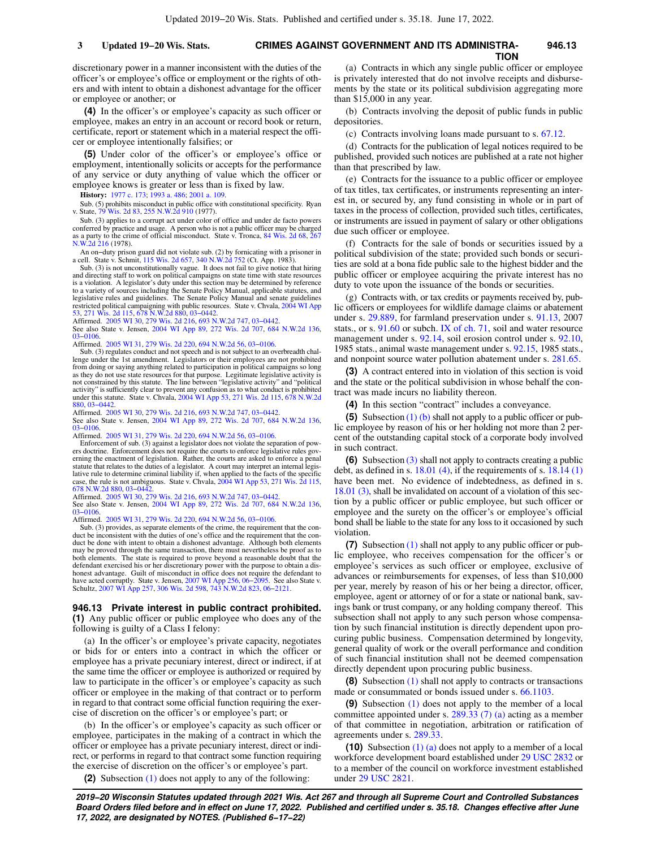#### **CRIMES AGAINST GOVERNMENT AND ITS ADMINISTRA-3 Updated 19−20 Wis. Stats. 946.13 TION**

discretionary power in a manner inconsistent with the duties of the officer's or employee's office or employment or the rights of others and with intent to obtain a dishonest advantage for the officer or employee or another; or

**(4)** In the officer's or employee's capacity as such officer or employee, makes an entry in an account or record book or return, certificate, report or statement which in a material respect the officer or employee intentionally falsifies; or

**(5)** Under color of the officer's or employee's office or employment, intentionally solicits or accepts for the performance of any service or duty anything of value which the officer or employee knows is greater or less than is fixed by law.

**History:** [1977 c. 173](https://docs.legis.wisconsin.gov/document/acts/1977/173); [1993 a. 486](https://docs.legis.wisconsin.gov/document/acts/1993/486); [2001 a. 109.](https://docs.legis.wisconsin.gov/document/acts/2001/109)

Sub. (5) prohibits misconduct in public office with constitutional specificity. Ryan v. State, [79 Wis. 2d 83,](https://docs.legis.wisconsin.gov/document/courts/79%20Wis.%202d%2083) [255 N.W.2d 910](https://docs.legis.wisconsin.gov/document/courts/255%20N.W.2d%20910) (1977).

Sub. (3) applies to a corrupt act under color of office and under de facto powers conferred by practice and usage. A person who is not a public officer may be charged as a party to the crime of official misconduct. State v. Tronca, [84 Wis. 2d 68,](https://docs.legis.wisconsin.gov/document/courts/84%20Wis.%202d%2068) [267](https://docs.legis.wisconsin.gov/document/courts/267%20N.W.2d%20216) [N.W.2d 216](https://docs.legis.wisconsin.gov/document/courts/267%20N.W.2d%20216) (1978).

An on−duty prison guard did not violate sub. (2) by fornicating with a prisoner in a cell. State v. Schmit, [115 Wis. 2d 657](https://docs.legis.wisconsin.gov/document/courts/115%20Wis.%202d%20657), [340 N.W.2d 752](https://docs.legis.wisconsin.gov/document/courts/340%20N.W.2d%20752) (Ct. App. 1983).

Sub. (3) is not unconstitutionally vague. It does not fail to give notice that hiring and directing staff to work on political campaigns on state time with state resources is a violation. A legislator's duty under this section may be determined by reference to a variety of sources including the Senate Policy Manual, applicable statutes, and legislative rules and guidelines. The Senate Policy Manual and senate guidelines restricted political campaigning with public resources. State v. Chvala, [2004 WI App](https://docs.legis.wisconsin.gov/document/courts/2004%20WI%20App%2053) [53,](https://docs.legis.wisconsin.gov/document/courts/2004%20WI%20App%2053) [271 Wis. 2d 115](https://docs.legis.wisconsin.gov/document/courts/271%20Wis.%202d%20115), [678 N.W.2d 880,](https://docs.legis.wisconsin.gov/document/courts/678%20N.W.2d%20880) [03−0442.](https://docs.legis.wisconsin.gov/document/wicourtofappeals/03-0442)

Affirmed. [2005 WI 30](https://docs.legis.wisconsin.gov/document/courts/2005%20WI%2030), [279 Wis. 2d 216](https://docs.legis.wisconsin.gov/document/courts/279%20Wis.%202d%20216), [693 N.W.2d 747,](https://docs.legis.wisconsin.gov/document/courts/693%20N.W.2d%20747) [03−0442.](https://docs.legis.wisconsin.gov/document/wisupremecourt/03-0442) See also State v. Jensen, [2004 WI App 89](https://docs.legis.wisconsin.gov/document/courts/2004%20WI%20App%2089), [272 Wis. 2d 707,](https://docs.legis.wisconsin.gov/document/courts/272%20Wis.%202d%20707) [684 N.W.2d 136](https://docs.legis.wisconsin.gov/document/courts/684%20N.W.2d%20136), [03−0106](https://docs.legis.wisconsin.gov/document/wicourtofappeals/03-0106).

Affirmed. [2005 WI 31](https://docs.legis.wisconsin.gov/document/courts/2005%20WI%2031), [279 Wis. 2d 220](https://docs.legis.wisconsin.gov/document/courts/279%20Wis.%202d%20220), [694 N.W.2d 56](https://docs.legis.wisconsin.gov/document/courts/694%20N.W.2d%2056), [03−0106](https://docs.legis.wisconsin.gov/document/wisupremecourt/03-0106).

Sub. (3) regulates conduct and not speech and is not subject to an overbreadth challenge under the 1st amendment. Legislators or their employees are not prohibited from doing or saying anything related to participation in political campaigns so long as they do not use state resources for that purpose. Legitimate legislative activity is not constrained by this statute. The line between "legislative activity" and "political activity" is sufficiently clear to prevent any confusion as to what conduct is prohibited under this statute. State v. Chvala, [2004 WI App 53,](https://docs.legis.wisconsin.gov/document/courts/2004%20WI%20App%2053) [271 Wis. 2d 115,](https://docs.legis.wisconsin.gov/document/courts/271%20Wis.%202d%20115) [678 N.W.2d](https://docs.legis.wisconsin.gov/document/courts/678%20N.W.2d%20880)

# [880](https://docs.legis.wisconsin.gov/document/courts/678%20N.W.2d%20880), 03-0442.<br>Affirmed. 2005 WI 30, 279 Wis. 2d 216, 693 N.W.2d 747, 03-0442. Affirmed. [2005 WI 30](https://docs.legis.wisconsin.gov/document/courts/2005%20WI%2030), [279 Wis. 2d 216](https://docs.legis.wisconsin.gov/document/courts/279%20Wis.%202d%20216), [693 N.W.2d 747,](https://docs.legis.wisconsin.gov/document/courts/693%20N.W.2d%20747) [03−0442.](https://docs.legis.wisconsin.gov/document/wisupremecourt/03-0442) See also State v. Jensen, [2004 WI App 89](https://docs.legis.wisconsin.gov/document/courts/2004%20WI%20App%2089), [272 Wis. 2d 707,](https://docs.legis.wisconsin.gov/document/courts/272%20Wis.%202d%20707) [684 N.W.2d 136](https://docs.legis.wisconsin.gov/document/courts/684%20N.W.2d%20136), [03−0106](https://docs.legis.wisconsin.gov/document/wicourtofappeals/03-0106).

Affirmed. [2005 WI 31](https://docs.legis.wisconsin.gov/document/courts/2005%20WI%2031), [279 Wis. 2d 220](https://docs.legis.wisconsin.gov/document/courts/279%20Wis.%202d%20220), [694 N.W.2d 56](https://docs.legis.wisconsin.gov/document/courts/694%20N.W.2d%2056), [03−0106](https://docs.legis.wisconsin.gov/document/wisupremecourt/03-0106).

Enforcement of sub. (3) against a legislator does not violate the separation of powers doctrine. Enforcement does not require the courts to enforce legislative rules governing the enactment of legislation. Rather, the courts are asked to enforce a penal statute that relates to the duties of a legislator. A court may interpret an internal legislative rule to determine criminal liability if, when applied to the facts of the specific case, the rule is not ambiguous. State v. Chvala, [2004 WI App 53,](https://docs.legis.wisconsin.gov/document/courts/2004%20WI%20App%2053) [271 Wis. 2d 115](https://docs.legis.wisconsin.gov/document/courts/271%20Wis.%202d%20115), [678 N.W.2d 880,](https://docs.legis.wisconsin.gov/document/courts/678%20N.W.2d%20880) [03−0442](https://docs.legis.wisconsin.gov/document/wicourtofappeals/03-0442).

Affirmed. [2005 WI 30](https://docs.legis.wisconsin.gov/document/courts/2005%20WI%2030), [279 Wis. 2d 216](https://docs.legis.wisconsin.gov/document/courts/279%20Wis.%202d%20216), [693 N.W.2d 747,](https://docs.legis.wisconsin.gov/document/courts/693%20N.W.2d%20747) [03−0442.](https://docs.legis.wisconsin.gov/document/wisupremecourt/03-0442) See also State v. Jensen, [2004 WI App 89](https://docs.legis.wisconsin.gov/document/courts/2004%20WI%20App%2089), [272 Wis. 2d 707,](https://docs.legis.wisconsin.gov/document/courts/272%20Wis.%202d%20707) [684 N.W.2d 136](https://docs.legis.wisconsin.gov/document/courts/684%20N.W.2d%20136), [03−0106](https://docs.legis.wisconsin.gov/document/wicourtofappeals/03-0106).

Affirmed. [2005 WI 31](https://docs.legis.wisconsin.gov/document/courts/2005%20WI%2031), [279 Wis. 2d 220](https://docs.legis.wisconsin.gov/document/courts/279%20Wis.%202d%20220), [694 N.W.2d 56](https://docs.legis.wisconsin.gov/document/courts/694%20N.W.2d%2056), [03−0106](https://docs.legis.wisconsin.gov/document/wisupremecourt/03-0106).

Sub. (3) provides, as separate elements of the crime, the requirement that the conduct be inconsistent with the duties of one's office and the requirement that the con-duct be done with intent to obtain a dishonest advantage. Although both elements may be proved through the same transaction, there must nevertheless be proof as to both elements. The state is required to prove beyond a reasonable doubt that the defendant exercised his or her discretionary power with the purpose to obtain a dis-honest advantage. Guilt of misconduct in office does not require the defendant to<br>have acted corruptly. State v. Jensen, [2007 WI App 256,](https://docs.legis.wisconsin.gov/document/courts/2007%20WI%20App%20256) 06–2095. See also State v.<br>Schultz, [2007 WI App 257](https://docs.legis.wisconsin.gov/document/courts/2007%20WI%20App%20257), [306 Wis. 2d 598,](https://docs.legis.wisconsin.gov/document/courts/306%20Wis.%202d%20598) [743 N.W.2d 823](https://docs.legis.wisconsin.gov/document/courts/743%20N.W.2d%20823)

### **946.13 Private interest in public contract prohibited. (1)** Any public officer or public employee who does any of the following is guilty of a Class I felony:

(a) In the officer's or employee's private capacity, negotiates or bids for or enters into a contract in which the officer or employee has a private pecuniary interest, direct or indirect, if at the same time the officer or employee is authorized or required by law to participate in the officer's or employee's capacity as such officer or employee in the making of that contract or to perform in regard to that contract some official function requiring the exercise of discretion on the officer's or employee's part; or

(b) In the officer's or employee's capacity as such officer or employee, participates in the making of a contract in which the officer or employee has a private pecuniary interest, direct or indirect, or performs in regard to that contract some function requiring the exercise of discretion on the officer's or employee's part.

**(2)** Subsection [\(1\)](https://docs.legis.wisconsin.gov/document/statutes/946.13(1)) does not apply to any of the following:

(a) Contracts in which any single public officer or employee is privately interested that do not involve receipts and disbursements by the state or its political subdivision aggregating more than \$15,000 in any year.

(b) Contracts involving the deposit of public funds in public depositories.

(c) Contracts involving loans made pursuant to s. [67.12.](https://docs.legis.wisconsin.gov/document/statutes/67.12)

(d) Contracts for the publication of legal notices required to be published, provided such notices are published at a rate not higher than that prescribed by law.

(e) Contracts for the issuance to a public officer or employee of tax titles, tax certificates, or instruments representing an interest in, or secured by, any fund consisting in whole or in part of taxes in the process of collection, provided such titles, certificates, or instruments are issued in payment of salary or other obligations due such officer or employee.

(f) Contracts for the sale of bonds or securities issued by a political subdivision of the state; provided such bonds or securities are sold at a bona fide public sale to the highest bidder and the public officer or employee acquiring the private interest has no duty to vote upon the issuance of the bonds or securities.

(g) Contracts with, or tax credits or payments received by, public officers or employees for wildlife damage claims or abatement under s. [29.889,](https://docs.legis.wisconsin.gov/document/statutes/29.889) for farmland preservation under s. [91.13](https://docs.legis.wisconsin.gov/document/statutes/2007/91.13), 2007 stats., or s. [91.60](https://docs.legis.wisconsin.gov/document/statutes/91.60) or subch. [IX of ch. 71,](https://docs.legis.wisconsin.gov/document/statutes/subch.%20IX%20of%20ch.%2071) soil and water resource management under s. [92.14,](https://docs.legis.wisconsin.gov/document/statutes/92.14) soil erosion control under s. [92.10,](https://docs.legis.wisconsin.gov/document/statutes/1985/92.10) 1985 stats., animal waste management under s. [92.15](https://docs.legis.wisconsin.gov/document/statutes/1985/92.15), 1985 stats., and nonpoint source water pollution abatement under s. [281.65](https://docs.legis.wisconsin.gov/document/statutes/281.65).

**(3)** A contract entered into in violation of this section is void and the state or the political subdivision in whose behalf the contract was made incurs no liability thereon.

**(4)** In this section "contract" includes a conveyance.

**(5)** Subsection [\(1\) \(b\)](https://docs.legis.wisconsin.gov/document/statutes/946.13(1)(b)) shall not apply to a public officer or public employee by reason of his or her holding not more than 2 percent of the outstanding capital stock of a corporate body involved in such contract.

**(6)** Subsection [\(3\)](https://docs.legis.wisconsin.gov/document/statutes/946.13(3)) shall not apply to contracts creating a public debt, as defined in s.  $18.01$  (4), if the requirements of s.  $18.14$  (1) have been met. No evidence of indebtedness, as defined in s. [18.01 \(3\)](https://docs.legis.wisconsin.gov/document/statutes/18.01(3)), shall be invalidated on account of a violation of this section by a public officer or public employee, but such officer or employee and the surety on the officer's or employee's official bond shall be liable to the state for any loss to it occasioned by such violation.

**(7)** Subsection [\(1\)](https://docs.legis.wisconsin.gov/document/statutes/946.13(1)) shall not apply to any public officer or public employee, who receives compensation for the officer's or employee's services as such officer or employee, exclusive of advances or reimbursements for expenses, of less than \$10,000 per year, merely by reason of his or her being a director, officer, employee, agent or attorney of or for a state or national bank, savings bank or trust company, or any holding company thereof. This subsection shall not apply to any such person whose compensation by such financial institution is directly dependent upon procuring public business. Compensation determined by longevity, general quality of work or the overall performance and condition of such financial institution shall not be deemed compensation directly dependent upon procuring public business.

**(8)** Subsection [\(1\)](https://docs.legis.wisconsin.gov/document/statutes/946.13(1)) shall not apply to contracts or transactions made or consummated or bonds issued under s. [66.1103.](https://docs.legis.wisconsin.gov/document/statutes/66.1103)

**(9)** Subsection [\(1\)](https://docs.legis.wisconsin.gov/document/statutes/946.13(1)) does not apply to the member of a local committee appointed under s.  $289.33$  (7) (a) acting as a member of that committee in negotiation, arbitration or ratification of agreements under s. [289.33](https://docs.legis.wisconsin.gov/document/statutes/289.33).

**(10)** Subsection [\(1\) \(a\)](https://docs.legis.wisconsin.gov/document/statutes/946.13(1)(a)) does not apply to a member of a local workforce development board established under [29 USC 2832](https://docs.legis.wisconsin.gov/document/usc/29%20USC%202832) or to a member of the council on workforce investment established under [29 USC 2821](https://docs.legis.wisconsin.gov/document/usc/29%20USC%202821).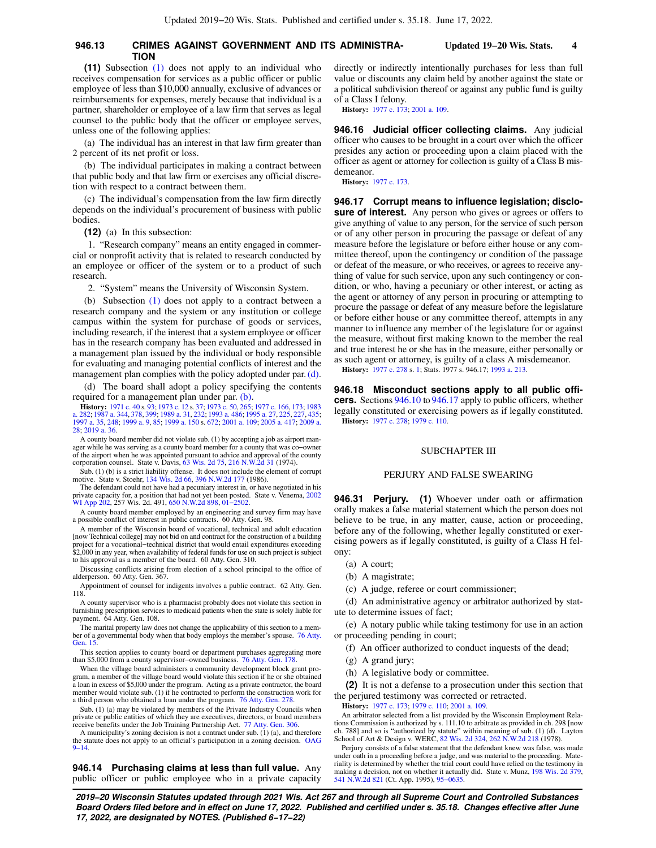### **946.13 CRIMES AGAINST GOVERNMENT AND ITS ADMINISTRA- Updated 19−20 Wis. Stats. 4 TION**

**(11)** Subsection [\(1\)](https://docs.legis.wisconsin.gov/document/statutes/946.13(1)) does not apply to an individual who receives compensation for services as a public officer or public employee of less than \$10,000 annually, exclusive of advances or reimbursements for expenses, merely because that individual is a partner, shareholder or employee of a law firm that serves as legal counsel to the public body that the officer or employee serves, unless one of the following applies:

(a) The individual has an interest in that law firm greater than 2 percent of its net profit or loss.

(b) The individual participates in making a contract between that public body and that law firm or exercises any official discretion with respect to a contract between them.

(c) The individual's compensation from the law firm directly depends on the individual's procurement of business with public bodies.

**(12)** (a) In this subsection:

1. "Research company" means an entity engaged in commercial or nonprofit activity that is related to research conducted by an employee or officer of the system or to a product of such research.

2. "System" means the University of Wisconsin System.

(b) Subsection [\(1\)](https://docs.legis.wisconsin.gov/document/statutes/946.13(1)) does not apply to a contract between a research company and the system or any institution or college campus within the system for purchase of goods or services, including research, if the interest that a system employee or officer has in the research company has been evaluated and addressed in a management plan issued by the individual or body responsible for evaluating and managing potential conflicts of interest and the management plan complies with the policy adopted under par. [\(d\).](https://docs.legis.wisconsin.gov/document/statutes/946.13(12)(d))

(d) The board shall adopt a policy specifying the contents required for a management plan under par. [\(b\).](https://docs.legis.wisconsin.gov/document/statutes/946.13(12)(b))

**History:** [1971 c. 40](https://docs.legis.wisconsin.gov/document/acts/1971/40) s. [93](https://docs.legis.wisconsin.gov/document/acts/1971/40,%20s.%2093); [1973 c. 12](https://docs.legis.wisconsin.gov/document/acts/1973/12) s. [37;](https://docs.legis.wisconsin.gov/document/acts/1973/12,%20s.%2037) [1973 c. 50](https://docs.legis.wisconsin.gov/document/acts/1973/50), [265;](https://docs.legis.wisconsin.gov/document/acts/1973/265) [1977 c. 166](https://docs.legis.wisconsin.gov/document/acts/1977/166), [173;](https://docs.legis.wisconsin.gov/document/acts/1977/173) [1983](https://docs.legis.wisconsin.gov/document/acts/1983/282) [a. 282](https://docs.legis.wisconsin.gov/document/acts/1983/282); [1987 a. 344](https://docs.legis.wisconsin.gov/document/acts/1987/344), [378,](https://docs.legis.wisconsin.gov/document/acts/1987/378) [399](https://docs.legis.wisconsin.gov/document/acts/1987/399); [1989 a. 31,](https://docs.legis.wisconsin.gov/document/acts/1989/31) [232](https://docs.legis.wisconsin.gov/document/acts/1989/232); [1993 a. 486](https://docs.legis.wisconsin.gov/document/acts/1993/486); [1995 a. 27,](https://docs.legis.wisconsin.gov/document/acts/1995/27) [225](https://docs.legis.wisconsin.gov/document/acts/1995/225), [227,](https://docs.legis.wisconsin.gov/document/acts/1995/227) [435](https://docs.legis.wisconsin.gov/document/acts/1995/435); [1997 a. 35,](https://docs.legis.wisconsin.gov/document/acts/1997/35) [248;](https://docs.legis.wisconsin.gov/document/acts/1997/248) [1999 a. 9,](https://docs.legis.wisconsin.gov/document/acts/1999/9) [85;](https://docs.legis.wisconsin.gov/document/acts/1999/85) [1999 a. 150](https://docs.legis.wisconsin.gov/document/acts/1999/150) s. [672;](https://docs.legis.wisconsin.gov/document/acts/1999/150,%20s.%20672) [2001 a. 109;](https://docs.legis.wisconsin.gov/document/acts/2001/109) [2005 a. 417](https://docs.legis.wisconsin.gov/document/acts/2005/417); [2009 a.](https://docs.legis.wisconsin.gov/document/acts/2009/28) [28;](https://docs.legis.wisconsin.gov/document/acts/2009/28) [2019 a. 36.](https://docs.legis.wisconsin.gov/document/acts/2019/36)

A county board member did not violate sub. (1) by accepting a job as airport manager while he was serving as a county board member for a county that was co−owner of the airport when he was appointed pursuant to advice and approval of the county corporation counsel. State v. Davis, [63 Wis. 2d 75,](https://docs.legis.wisconsin.gov/document/courts/63%20Wis.%202d%2075) [216 N.W.2d 31](https://docs.legis.wisconsin.gov/document/courts/216%20N.W.2d%2031) (1974).

Sub. (1) (b) is a strict liability offense. It does not include the element of corrupt motive. State v. Stoehr, [134 Wis. 2d 66,](https://docs.legis.wisconsin.gov/document/courts/134%20Wis.%202d%2066) [396 N.W.2d 177](https://docs.legis.wisconsin.gov/document/courts/396%20N.W.2d%20177) (1986).

The defendant could not have had a pecuniary interest in, or have negotiated in his private capacity for, a position that had not yet been posted. State v. Venema, [2002](https://docs.legis.wisconsin.gov/document/courts/2002%20WI%20App%20202) [WI App 202,](https://docs.legis.wisconsin.gov/document/courts/2002%20WI%20App%20202) 257 Wis. 2d. 491, [650 N.W.2d 898,](https://docs.legis.wisconsin.gov/document/courts/650%20N.W.2d%20898) [01−2502.](https://docs.legis.wisconsin.gov/document/wicourtofappeals/01-2502)

A county board member employed by an engineering and survey firm may have a possible conflict of interest in public contracts. 60 Atty. Gen. 98.

A member of the Wisconsin board of vocational, technical and adult education [now Technical college] may not bid on and contract for the construction of a building project for a vocational–technical district that would entail expenditures exceeding \$2,000 in any year, when availability of federal funds for use on such project is subject<br>to his approval as a member of the board. 60 At

Discussing conflicts arising from election of a school principal to the office of alderperson. 60 Atty. Gen. 367.

Appointment of counsel for indigents involves a public contract. 62 Atty. Gen. 118.

A county supervisor who is a pharmacist probably does not violate this section in furnishing prescription services to medicaid patients when the state is solely liable for payment. 64 Atty. Gen. 108.

The marital property law does not change the applicability of this section to a member of a governmental body when that body employs the member's spouse. [76 Atty.](https://docs.legis.wisconsin.gov/document/oag/vol76-15) [Gen. 15.](https://docs.legis.wisconsin.gov/document/oag/vol76-15)

This section applies to county board or department purchases aggregating more than \$5,000 from a county supervisor−owned business. [76 Atty. Gen. 178.](https://docs.legis.wisconsin.gov/document/oag/vol76-178)

When the village board administers a community development block grant program, a member of the village board would violate this section if he or she obtained a loan in excess of \$5,000 under the program. Acting as a private contractor, the board member would violate sub. (1) if he contracted to perform the construction work for a third person who obtained a loan under the program. [76 Atty. Gen. 278.](https://docs.legis.wisconsin.gov/document/oag/vol76-278)

Sub. (1) (a) may be violated by members of the Private Industry Councils when private or public entities of which they are executives, directors, or board members receive benefits under the Job Training Partnership Act. [77 Atty. Gen. 306.](https://docs.legis.wisconsin.gov/document/oag/vol77-306) A municipality's zoning decision is not a contract under sub. (1) (a), and therefore

the statute does not apply to an official's participation in a zoning decision. [OAG](https://docs.legis.wisconsin.gov/document/oag/oag9-14) [9−14.](https://docs.legis.wisconsin.gov/document/oag/oag9-14)

**946.14 Purchasing claims at less than full value.** Any public officer or public employee who in a private capacity directly or indirectly intentionally purchases for less than full value or discounts any claim held by another against the state or a political subdivision thereof or against any public fund is guilty of a Class I felony.

**History:** [1977 c. 173;](https://docs.legis.wisconsin.gov/document/acts/1977/173) [2001 a. 109](https://docs.legis.wisconsin.gov/document/acts/2001/109).

**946.16 Judicial officer collecting claims.** Any judicial officer who causes to be brought in a court over which the officer presides any action or proceeding upon a claim placed with the officer as agent or attorney for collection is guilty of a Class B misdemeanor.

**History:** [1977 c. 173.](https://docs.legis.wisconsin.gov/document/acts/1977/173)

**946.17 Corrupt means to influence legislation; disclosure of interest.** Any person who gives or agrees or offers to give anything of value to any person, for the service of such person or of any other person in procuring the passage or defeat of any measure before the legislature or before either house or any committee thereof, upon the contingency or condition of the passage or defeat of the measure, or who receives, or agrees to receive anything of value for such service, upon any such contingency or condition, or who, having a pecuniary or other interest, or acting as the agent or attorney of any person in procuring or attempting to procure the passage or defeat of any measure before the legislature or before either house or any committee thereof, attempts in any manner to influence any member of the legislature for or against the measure, without first making known to the member the real and true interest he or she has in the measure, either personally or as such agent or attorney, is guilty of a class A misdemeanor.

**History:** [1977 c. 278](https://docs.legis.wisconsin.gov/document/acts/1977/278) s. [1](https://docs.legis.wisconsin.gov/document/acts/1977/278,%20s.%201); Stats. 1977 s. 946.17; [1993 a. 213.](https://docs.legis.wisconsin.gov/document/acts/1993/213)

**946.18 Misconduct sections apply to all public officers.** Sections [946.10](https://docs.legis.wisconsin.gov/document/statutes/946.10) to [946.17](https://docs.legis.wisconsin.gov/document/statutes/946.17) apply to public officers, whether legally constituted or exercising powers as if legally constituted. **History:** [1977 c. 278;](https://docs.legis.wisconsin.gov/document/acts/1977/278) [1979 c. 110.](https://docs.legis.wisconsin.gov/document/acts/1979/110)

#### SUBCHAPTER III

#### PERJURY AND FALSE SWEARING

**946.31 Perjury. (1)** Whoever under oath or affirmation orally makes a false material statement which the person does not believe to be true, in any matter, cause, action or proceeding, before any of the following, whether legally constituted or exercising powers as if legally constituted, is guilty of a Class H felony:

- (a) A court;
- (b) A magistrate;
- (c) A judge, referee or court commissioner;

(d) An administrative agency or arbitrator authorized by statute to determine issues of fact;

(e) A notary public while taking testimony for use in an action or proceeding pending in court;

(f) An officer authorized to conduct inquests of the dead;

- (g) A grand jury;
- (h) A legislative body or committee.

**(2)** It is not a defense to a prosecution under this section that the perjured testimony was corrected or retracted.

**History:** [1977 c. 173;](https://docs.legis.wisconsin.gov/document/acts/1977/173) [1979 c. 110;](https://docs.legis.wisconsin.gov/document/acts/1979/110) [2001 a. 109.](https://docs.legis.wisconsin.gov/document/acts/2001/109)

An arbitrator selected from a list provided by the Wisconsin Employment Relations Commission is authorized by s. 111.10 to arbitrate as provided in ch. 298 [now ch. 788] and so is "authorized by statute" within meaning of sub. (1) (d). Layton School of Art & Design v. WERC, [82 Wis. 2d 324](https://docs.legis.wisconsin.gov/document/courts/82%20Wis.%202d%20324), [262 N.W.2d 218](https://docs.legis.wisconsin.gov/document/courts/262%20N.W.2d%20218) (1978).

Perjury consists of a false statement that the defendant knew was false, was made under oath in a proceeding before a judge, and was material to the proceeding. Mate-riality is determined by whether the trial court could have relied on the testimony in making a decision, not on whether it actually did. State v. Munz, [198 Wis. 2d 379](https://docs.legis.wisconsin.gov/document/courts/198%20Wis.%202d%20379), [541 N.W.2d 821](https://docs.legis.wisconsin.gov/document/courts/541%20N.W.2d%20821) (Ct. App. 1995), [95−0635](https://docs.legis.wisconsin.gov/document/wicourtofappeals/95-0635).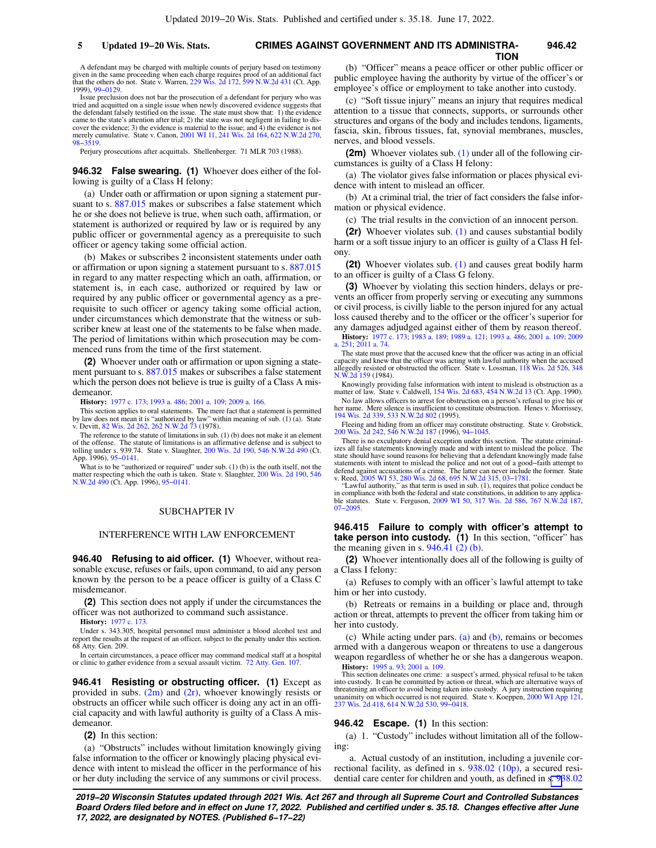#### **CRIMES AGAINST GOVERNMENT AND ITS ADMINISTRA-5 Updated 19−20 Wis. Stats. 946.42 TION**

A defendant may be charged with multiple counts of perjury based on testimony given in the same proceeding when each charge requires proof of an additional fact<br>that the others do not. State v. Warren, [229 Wis. 2d 172](https://docs.legis.wisconsin.gov/document/courts/229%20Wis.%202d%20172), [599 N.W.2d 431](https://docs.legis.wisconsin.gov/document/courts/599%20N.W.2d%20431) (Ct. App. 1999), [99−0129](https://docs.legis.wisconsin.gov/document/wicourtofappeals/99-0129).

Issue preclusion does not bar the prosecution of a defendant for perjury who was tried and acquitted on a single issue when newly discovered evidence suggests that the defendant falsely testified on the issue. The state must show that: 1) the evidence came to the state's attention after trial; 2) the state was not negligent in failing to dis-cover the evidence; 3) the evidence is material to the issue; and 4) the evidence is not merely cumulative. State v. Canon, [2001 WI 11,](https://docs.legis.wisconsin.gov/document/courts/2001%20WI%2011) [241 Wis. 2d 164](https://docs.legis.wisconsin.gov/document/courts/241%20Wis.%202d%20164), [622 N.W.2d 270](https://docs.legis.wisconsin.gov/document/courts/622%20N.W.2d%20270), [98−3519](https://docs.legis.wisconsin.gov/document/wisupremecourt/98-3519).

Perjury prosecutions after acquittals. Shellenberger. 71 MLR 703 (1988).

**946.32 False swearing. (1)** Whoever does either of the following is guilty of a Class H felony:

(a) Under oath or affirmation or upon signing a statement pur-suant to s. [887.015](https://docs.legis.wisconsin.gov/document/statutes/887.015) makes or subscribes a false statement which he or she does not believe is true, when such oath, affirmation, or statement is authorized or required by law or is required by any public officer or governmental agency as a prerequisite to such officer or agency taking some official action.

(b) Makes or subscribes 2 inconsistent statements under oath or affirmation or upon signing a statement pursuant to s. [887.015](https://docs.legis.wisconsin.gov/document/statutes/887.015) in regard to any matter respecting which an oath, affirmation, or statement is, in each case, authorized or required by law or required by any public officer or governmental agency as a prerequisite to such officer or agency taking some official action, under circumstances which demonstrate that the witness or subscriber knew at least one of the statements to be false when made. The period of limitations within which prosecution may be commenced runs from the time of the first statement.

**(2)** Whoever under oath or affirmation or upon signing a statement pursuant to s. [887.015](https://docs.legis.wisconsin.gov/document/statutes/887.015) makes or subscribes a false statement which the person does not believe is true is guilty of a Class A misdemeanor.

**History:** [1977 c. 173](https://docs.legis.wisconsin.gov/document/acts/1977/173); [1993 a. 486](https://docs.legis.wisconsin.gov/document/acts/1993/486); [2001 a. 109;](https://docs.legis.wisconsin.gov/document/acts/2001/109) [2009 a. 166](https://docs.legis.wisconsin.gov/document/acts/2009/166).

This section applies to oral statements. The mere fact that a statement is permitted by law does not mean it is "authorized by law" within meaning of sub. (1) (a). State v. Devitt, [82 Wis. 2d 262,](https://docs.legis.wisconsin.gov/document/courts/82%20Wis.%202d%20262) [262 N.W.2d 73](https://docs.legis.wisconsin.gov/document/courts/262%20N.W.2d%2073) (1978).

The reference to the statute of limitations in sub. (1) (b) does not make it an element of the offense. The statute of limitations is an affirmative defense and is subject to tolling under s. 939.74. State v. Slaughter, [200 Wis. 2d 190](https://docs.legis.wisconsin.gov/document/courts/200%20Wis.%202d%20190), [546 N.W.2d 490](https://docs.legis.wisconsin.gov/document/courts/546%20N.W.2d%20490) (Ct. App. 1996), [95−0141.](https://docs.legis.wisconsin.gov/document/wicourtofappeals/95-0141)

What is to be "authorized or required" under sub. (1) (b) is the oath itself, not the matter respecting which the oath is taken. State v. Slaughter, [200 Wis. 2d 190](https://docs.legis.wisconsin.gov/document/courts/200%20Wis.%202d%20190), [546](https://docs.legis.wisconsin.gov/document/courts/546%20N.W.2d%20490) [N.W.2d 490](https://docs.legis.wisconsin.gov/document/courts/546%20N.W.2d%20490) (Ct. App. 1996), [95−0141.](https://docs.legis.wisconsin.gov/document/wicourtofappeals/95-0141)

#### SUBCHAPTER IV

# INTERFERENCE WITH LAW ENFORCEMENT

**946.40 Refusing to aid officer. (1)** Whoever, without reasonable excuse, refuses or fails, upon command, to aid any person known by the person to be a peace officer is guilty of a Class C misdemeanor.

**(2)** This section does not apply if under the circumstances the officer was not authorized to command such assistance.

**History:** [1977 c. 173](https://docs.legis.wisconsin.gov/document/acts/1977/173).

Under s. 343.305, hospital personnel must administer a blood alcohol test and report the results at the request of an officer, subject to the penalty under this section. 68 Atty. Gen. 209.

In certain circumstances, a peace officer may command medical staff at a hospital or clinic to gather evidence from a sexual assault victim. [72 Atty. Gen. 107.](https://docs.legis.wisconsin.gov/document/oag/vol72-107)

**946.41 Resisting or obstructing officer. (1)** Except as provided in subs.  $(2m)$  and  $(2r)$ , whoever knowingly resists or obstructs an officer while such officer is doing any act in an official capacity and with lawful authority is guilty of a Class A misdemeanor.

**(2)** In this section:

(a) "Obstructs" includes without limitation knowingly giving false information to the officer or knowingly placing physical evidence with intent to mislead the officer in the performance of his or her duty including the service of any summons or civil process.

(b) "Officer" means a peace officer or other public officer or public employee having the authority by virtue of the officer's or employee's office or employment to take another into custody.

(c) "Soft tissue injury" means an injury that requires medical attention to a tissue that connects, supports, or surrounds other structures and organs of the body and includes tendons, ligaments, fascia, skin, fibrous tissues, fat, synovial membranes, muscles, nerves, and blood vessels.

**(2m)** Whoever violates sub. [\(1\)](https://docs.legis.wisconsin.gov/document/statutes/946.41(1)) under all of the following circumstances is guilty of a Class H felony:

(a) The violator gives false information or places physical evidence with intent to mislead an officer.

(b) At a criminal trial, the trier of fact considers the false information or physical evidence.

(c) The trial results in the conviction of an innocent person.

**(2r)** Whoever violates sub. [\(1\)](https://docs.legis.wisconsin.gov/document/statutes/946.41(1)) and causes substantial bodily harm or a soft tissue injury to an officer is guilty of a Class H felony.

**(2t)** Whoever violates sub. [\(1\)](https://docs.legis.wisconsin.gov/document/statutes/946.41(1)) and causes great bodily harm to an officer is guilty of a Class G felony.

**(3)** Whoever by violating this section hinders, delays or prevents an officer from properly serving or executing any summons or civil process, is civilly liable to the person injured for any actual loss caused thereby and to the officer or the officer's superior for any damages adjudged against either of them by reason thereof. **History:** [1977 c. 173](https://docs.legis.wisconsin.gov/document/acts/1977/173); [1983 a. 189;](https://docs.legis.wisconsin.gov/document/acts/1983/189) [1989 a. 121](https://docs.legis.wisconsin.gov/document/acts/1989/121); [1993 a. 486;](https://docs.legis.wisconsin.gov/document/acts/1993/486) [2001 a. 109;](https://docs.legis.wisconsin.gov/document/acts/2001/109) [2009](https://docs.legis.wisconsin.gov/document/acts/2009/251)

[a. 251](https://docs.legis.wisconsin.gov/document/acts/2009/251); [2011 a. 74](https://docs.legis.wisconsin.gov/document/acts/2011/74). The state must prove that the accused knew that the officer was acting in an official

capacity and knew that the officer was acting with lawful authority when the accused allegedly resisted or obstructed the officer. State v. Lossman, [118 Wis. 2d 526](https://docs.legis.wisconsin.gov/document/courts/118%20Wis.%202d%20526), [348](https://docs.legis.wisconsin.gov/document/courts/348%20N.W.2d%20159) [N.W.2d 159](https://docs.legis.wisconsin.gov/document/courts/348%20N.W.2d%20159) (1984).

Knowingly providing false information with intent to mislead is obstruction as a matter of law. State v. Caldwell, [154 Wis. 2d 683,](https://docs.legis.wisconsin.gov/document/courts/154%20Wis.%202d%20683) [454 N.W.2d 13](https://docs.legis.wisconsin.gov/document/courts/454%20N.W.2d%2013) (Ct. App. 1990).

No law allows officers to arrest for obstruction on a person's refusal to give his or her name. Mere silence is insufficient to constitute obstruction. Henes v. Morrissey, [194 Wis. 2d 339](https://docs.legis.wisconsin.gov/document/courts/194%20Wis.%202d%20339), [533 N.W.2d 802](https://docs.legis.wisconsin.gov/document/courts/533%20N.W.2d%20802) (1995).

Fleeing and hiding from an officer may constitute obstructing. State v. Grobstick, [200 Wis. 2d 242](https://docs.legis.wisconsin.gov/document/courts/200%20Wis.%202d%20242), [546 N.W.2d 187](https://docs.legis.wisconsin.gov/document/courts/546%20N.W.2d%20187) (1996), [94−1045](https://docs.legis.wisconsin.gov/document/wisupremecourt/94-1045).

There is no exculpatory denial exception under this section. The statute criminalizes all false statements knowingly made and with intent to mislead the police. The state should have sound reasons for believing that a defendant knowingly made false<br>statements with intent to mislead the police and not out of a good-faith attempt to<br>defend against accusations of a crime. The latter can

in compliance with both the federal and state constitutions, in addition to any applicable statutes. State v. Ferguson, [2009 WI 50,](https://docs.legis.wisconsin.gov/document/courts/2009%20WI%2050) [317 Wis. 2d 586,](https://docs.legis.wisconsin.gov/document/courts/317%20Wis.%202d%20586) [767 N.W.2d 187](https://docs.legis.wisconsin.gov/document/courts/767%20N.W.2d%20187), [07−2095.](https://docs.legis.wisconsin.gov/document/wisupremecourt/07-2095)

**946.415 Failure to comply with officer's attempt to take person into custody. (1)** In this section, "officer" has the meaning given in s.  $946.41$  (2) (b).

**(2)** Whoever intentionally does all of the following is guilty of a Class I felony:

(a) Refuses to comply with an officer's lawful attempt to take him or her into custody.

(b) Retreats or remains in a building or place and, through action or threat, attempts to prevent the officer from taking him or her into custody.

(c) While acting under pars. [\(a\)](https://docs.legis.wisconsin.gov/document/statutes/946.415(2)(a)) and [\(b\)](https://docs.legis.wisconsin.gov/document/statutes/946.415(2)(b)), remains or becomes armed with a dangerous weapon or threatens to use a dangerous weapon regardless of whether he or she has a dangerous weapon. **History:** [1995 a. 93](https://docs.legis.wisconsin.gov/document/acts/1995/93); [2001 a. 109.](https://docs.legis.wisconsin.gov/document/acts/2001/109)

This section delineates one crime: a suspect's armed, physical refusal to be taken into custody. It can be committed by action or threat, which are alternative ways of threatening an officer to avoid being taken into custody. A jury instruction requiring unanimity on which occurred is not required. State v. Koeppen, [2000 WI App 121](https://docs.legis.wisconsin.gov/document/courts/2000%20WI%20App%20121), [237 Wis. 2d 418](https://docs.legis.wisconsin.gov/document/courts/237%20Wis.%202d%20418), [614 N.W.2d 530,](https://docs.legis.wisconsin.gov/document/courts/614%20N.W.2d%20530) [99−0418.](https://docs.legis.wisconsin.gov/document/wicourtofappeals/99-0418)

#### **946.42 Escape. (1)** In this section:

(a) 1. "Custody" includes without limitation all of the following:

a. Actual custody of an institution, including a juvenile correctional facility, as defined in s. [938.02 \(10p\),](https://docs.legis.wisconsin.gov/document/statutes/938.02(10p)) a secured residential care center for children and youth, as defined in s[. 93](https://docs.legis.wisconsin.gov/document/statutes/938.02(15g))8.02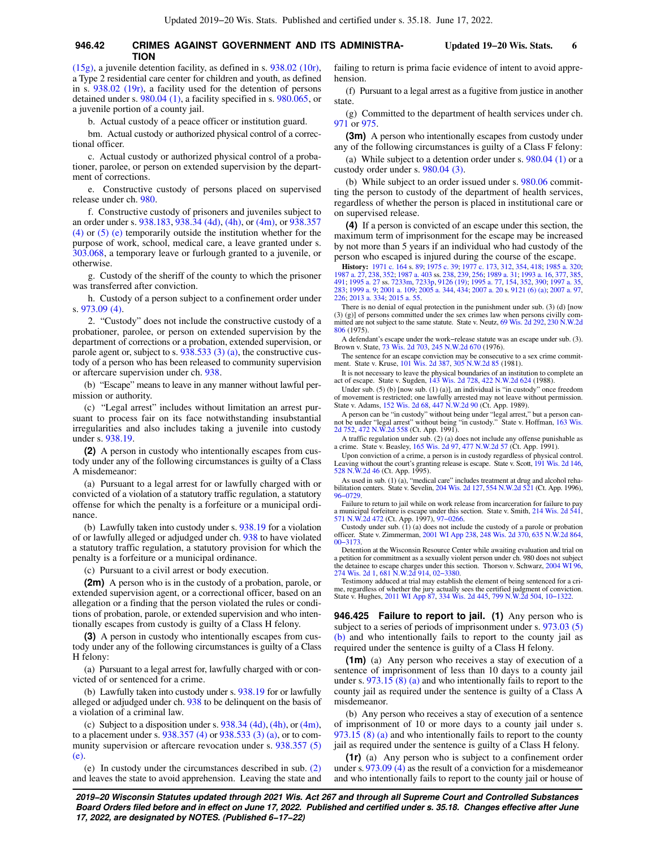### **946.42 CRIMES AGAINST GOVERNMENT AND ITS ADMINISTRA- Updated 19−20 Wis. Stats. 6 TION**

[\(15g\)](https://docs.legis.wisconsin.gov/document/statutes/938.02(15g)), a juvenile detention facility, as defined in s. [938.02 \(10r\),](https://docs.legis.wisconsin.gov/document/statutes/938.02(10r)) a Type 2 residential care center for children and youth, as defined in s. [938.02 \(19r\),](https://docs.legis.wisconsin.gov/document/statutes/938.02(19r)) a facility used for the detention of persons detained under s. [980.04 \(1\),](https://docs.legis.wisconsin.gov/document/statutes/980.04(1)) a facility specified in s. [980.065](https://docs.legis.wisconsin.gov/document/statutes/980.065), or a juvenile portion of a county jail.

b. Actual custody of a peace officer or institution guard.

bm. Actual custody or authorized physical control of a correctional officer.

c. Actual custody or authorized physical control of a probationer, parolee, or person on extended supervision by the department of corrections.

e. Constructive custody of persons placed on supervised release under ch. [980.](https://docs.legis.wisconsin.gov/document/statutes/ch.%20980)

f. Constructive custody of prisoners and juveniles subject to an order under s. [938.183](https://docs.legis.wisconsin.gov/document/statutes/938.183), [938.34 \(4d\),](https://docs.legis.wisconsin.gov/document/statutes/938.34(4d)) [\(4h\)](https://docs.legis.wisconsin.gov/document/statutes/938.34(4h)), or [\(4m\),](https://docs.legis.wisconsin.gov/document/statutes/938.34(4m)) or [938.357](https://docs.legis.wisconsin.gov/document/statutes/938.357(4)) [\(4\)](https://docs.legis.wisconsin.gov/document/statutes/938.357(4)) or [\(5\) \(e\)](https://docs.legis.wisconsin.gov/document/statutes/938.357(5)(e)) temporarily outside the institution whether for the purpose of work, school, medical care, a leave granted under s. [303.068](https://docs.legis.wisconsin.gov/document/statutes/303.068), a temporary leave or furlough granted to a juvenile, or otherwise.

g. Custody of the sheriff of the county to which the prisoner was transferred after conviction.

h. Custody of a person subject to a confinement order under s. [973.09 \(4\).](https://docs.legis.wisconsin.gov/document/statutes/973.09(4))

2. "Custody" does not include the constructive custody of a probationer, parolee, or person on extended supervision by the department of corrections or a probation, extended supervision, or parole agent or, subject to s. [938.533 \(3\) \(a\)](https://docs.legis.wisconsin.gov/document/statutes/938.533(3)(a)), the constructive custody of a person who has been released to community supervision or aftercare supervision under ch. [938](https://docs.legis.wisconsin.gov/document/statutes/ch.%20938).

(b) "Escape" means to leave in any manner without lawful permission or authority.

(c) "Legal arrest" includes without limitation an arrest pursuant to process fair on its face notwithstanding insubstantial irregularities and also includes taking a juvenile into custody under s. [938.19.](https://docs.legis.wisconsin.gov/document/statutes/938.19)

**(2)** A person in custody who intentionally escapes from custody under any of the following circumstances is guilty of a Class A misdemeanor:

(a) Pursuant to a legal arrest for or lawfully charged with or convicted of a violation of a statutory traffic regulation, a statutory offense for which the penalty is a forfeiture or a municipal ordinance.

(b) Lawfully taken into custody under s. [938.19](https://docs.legis.wisconsin.gov/document/statutes/938.19) for a violation of or lawfully alleged or adjudged under ch. [938](https://docs.legis.wisconsin.gov/document/statutes/ch.%20938) to have violated a statutory traffic regulation, a statutory provision for which the penalty is a forfeiture or a municipal ordinance.

(c) Pursuant to a civil arrest or body execution.

**(2m)** A person who is in the custody of a probation, parole, or extended supervision agent, or a correctional officer, based on an allegation or a finding that the person violated the rules or conditions of probation, parole, or extended supervision and who intentionally escapes from custody is guilty of a Class H felony.

**(3)** A person in custody who intentionally escapes from custody under any of the following circumstances is guilty of a Class H felony:

(a) Pursuant to a legal arrest for, lawfully charged with or convicted of or sentenced for a crime.

(b) Lawfully taken into custody under s. [938.19](https://docs.legis.wisconsin.gov/document/statutes/938.19) for or lawfully alleged or adjudged under ch. [938](https://docs.legis.wisconsin.gov/document/statutes/ch.%20938) to be delinquent on the basis of a violation of a criminal law.

(c) Subject to a disposition under s.  $938.34$  (4d), [\(4h\)](https://docs.legis.wisconsin.gov/document/statutes/938.34(4h)), or [\(4m\),](https://docs.legis.wisconsin.gov/document/statutes/938.34(4m)) to a placement under s. [938.357 \(4\)](https://docs.legis.wisconsin.gov/document/statutes/938.357(4)) or [938.533 \(3\) \(a\),](https://docs.legis.wisconsin.gov/document/statutes/938.533(3)(a)) or to com-munity supervision or aftercare revocation under s. [938.357 \(5\)](https://docs.legis.wisconsin.gov/document/statutes/938.357(5)(e))  $(e)$ 

(e) In custody under the circumstances described in sub. [\(2\)](https://docs.legis.wisconsin.gov/document/statutes/946.42(2)) and leaves the state to avoid apprehension. Leaving the state and failing to return is prima facie evidence of intent to avoid apprehension.

(f) Pursuant to a legal arrest as a fugitive from justice in another state.

(g) Committed to the department of health services under ch. [971](https://docs.legis.wisconsin.gov/document/statutes/ch.%20971) or [975](https://docs.legis.wisconsin.gov/document/statutes/ch.%20975).

**(3m)** A person who intentionally escapes from custody under any of the following circumstances is guilty of a Class F felony:

(a) While subject to a detention order under s.  $980.04$  (1) or a custody order under s. [980.04 \(3\).](https://docs.legis.wisconsin.gov/document/statutes/980.04(3))

(b) While subject to an order issued under s. [980.06](https://docs.legis.wisconsin.gov/document/statutes/980.06) committing the person to custody of the department of health services, regardless of whether the person is placed in institutional care or on supervised release.

**(4)** If a person is convicted of an escape under this section, the maximum term of imprisonment for the escape may be increased by not more than 5 years if an individual who had custody of the person who escaped is injured during the course of the escape.

**History:** [1971 c. 164](https://docs.legis.wisconsin.gov/document/acts/1971/164) s. [89;](https://docs.legis.wisconsin.gov/document/acts/1971/164,%20s.%2089) [1975 c. 39;](https://docs.legis.wisconsin.gov/document/acts/1975/39) [1977 c. 173](https://docs.legis.wisconsin.gov/document/acts/1977/173), [312](https://docs.legis.wisconsin.gov/document/acts/1977/312), [354,](https://docs.legis.wisconsin.gov/document/acts/1977/354) [418;](https://docs.legis.wisconsin.gov/document/acts/1977/418) [1985 a. 320](https://docs.legis.wisconsin.gov/document/acts/1985/320); [1987 a. 27,](https://docs.legis.wisconsin.gov/document/acts/1987/27) [238](https://docs.legis.wisconsin.gov/document/acts/1987/238), [352;](https://docs.legis.wisconsin.gov/document/acts/1987/352) [1987 a. 403](https://docs.legis.wisconsin.gov/document/acts/1987/403) ss. [238,](https://docs.legis.wisconsin.gov/document/acts/1987/403,%20s.%20238) [239,](https://docs.legis.wisconsin.gov/document/acts/1987/403,%20s.%20239) [256](https://docs.legis.wisconsin.gov/document/acts/1987/403,%20s.%20256); [1989 a. 31](https://docs.legis.wisconsin.gov/document/acts/1989/31); [1993 a. 16](https://docs.legis.wisconsin.gov/document/acts/1993/16), [377,](https://docs.legis.wisconsin.gov/document/acts/1993/377) [385](https://docs.legis.wisconsin.gov/document/acts/1993/385), [491;](https://docs.legis.wisconsin.gov/document/acts/1993/491) [1995 a. 27](https://docs.legis.wisconsin.gov/document/acts/1995/27) ss. [7233m,](https://docs.legis.wisconsin.gov/document/acts/1995/27,%20s.%207233m) [7233p,](https://docs.legis.wisconsin.gov/document/acts/1995/27,%20s.%207233p) [9126 \(19\)](https://docs.legis.wisconsin.gov/document/acts/1995/27,%20s.%209126); [1995 a. 77,](https://docs.legis.wisconsin.gov/document/acts/1995/77) [154,](https://docs.legis.wisconsin.gov/document/acts/1995/154) [352](https://docs.legis.wisconsin.gov/document/acts/1995/352), [390](https://docs.legis.wisconsin.gov/document/acts/1995/390); [1997 a. 35](https://docs.legis.wisconsin.gov/document/acts/1997/35), [283;](https://docs.legis.wisconsin.gov/document/acts/1997/283) [1999 a. 9](https://docs.legis.wisconsin.gov/document/acts/1999/9); [2001 a. 109](https://docs.legis.wisconsin.gov/document/acts/2001/109); [2005 a. 344](https://docs.legis.wisconsin.gov/document/acts/2005/344), [434](https://docs.legis.wisconsin.gov/document/acts/2005/434); [2007 a. 20](https://docs.legis.wisconsin.gov/document/acts/2007/20) s. [9121 \(6\) \(a\)](https://docs.legis.wisconsin.gov/document/acts/2007/20,%20s.%209121); [2007 a. 97](https://docs.legis.wisconsin.gov/document/acts/2007/97), [226;](https://docs.legis.wisconsin.gov/document/acts/2007/226) [2013 a. 334](https://docs.legis.wisconsin.gov/document/acts/2013/334); [2015 a. 55](https://docs.legis.wisconsin.gov/document/acts/2015/55).

There is no denial of equal protection in the punishment under sub. (3) (d) [now (3) (g)] of persons committed under the sex crimes law when persons civilly committed are not subject to the same statute. State v. Neutz, [69 Wis. 2d 292](https://docs.legis.wisconsin.gov/document/courts/69%20Wis.%202d%20292), [230 N.W.2d](https://docs.legis.wisconsin.gov/document/courts/230%20N.W.2d%20806) [806](https://docs.legis.wisconsin.gov/document/courts/230%20N.W.2d%20806) (1975).

A defendant's escape under the work−release statute was an escape under sub. (3). Brown v. State, [73 Wis. 2d 703](https://docs.legis.wisconsin.gov/document/courts/73%20Wis.%202d%20703), [245 N.W.2d 670](https://docs.legis.wisconsin.gov/document/courts/245%20N.W.2d%20670) (1976).

The sentence for an escape conviction may be consecutive to a sex crime commit-<br>ment. State v. Kruse, [101 Wis. 2d 387,](https://docs.legis.wisconsin.gov/document/courts/101%20Wis.%202d%20387) [305 N.W.2d 85](https://docs.legis.wisconsin.gov/document/courts/305%20N.W.2d%2085) (1981).

It is not necessary to leave the physical boundaries of an institution to complete an act of escape. State v. Sugden, [143 Wis. 2d 728](https://docs.legis.wisconsin.gov/document/courts/143%20Wis.%202d%20728), [422 N.W.2d 624](https://docs.legis.wisconsin.gov/document/courts/422%20N.W.2d%20624) (1988).

Under sub. (5) (b) [now sub. (1) (a)], an individual is "in custody" once freedom of movement is restricted; one lawfully arrested may not leave without permission. State v. Adams, [152 Wis. 2d 68](https://docs.legis.wisconsin.gov/document/courts/152%20Wis.%202d%2068), [447 N.W.2d 90](https://docs.legis.wisconsin.gov/document/courts/447%20N.W.2d%2090) (Ct. App. 1989).

A person can be "in custody" without being under "legal arrest," but a person can-not be under "legal arrest" without being "in custody." State v. Hoffman, [163 Wis.](https://docs.legis.wisconsin.gov/document/courts/163%20Wis.%202d%20752) [2d 752](https://docs.legis.wisconsin.gov/document/courts/163%20Wis.%202d%20752), [472 N.W.2d 558](https://docs.legis.wisconsin.gov/document/courts/472%20N.W.2d%20558) (Ct. App. 1991).

A traffic regulation under sub. (2) (a) does not include any offense punishable as a crime. State v. Beasley, [165 Wis. 2d 97](https://docs.legis.wisconsin.gov/document/courts/165%20Wis.%202d%2097), [477 N.W.2d 57](https://docs.legis.wisconsin.gov/document/courts/477%20N.W.2d%2057) (Ct. App. 1991).

Upon conviction of a crime, a person is in custody regardless of physical control. Leaving without the court's granting release is escape. State v. Scott, [191 Wis. 2d 146](https://docs.legis.wisconsin.gov/document/courts/191%20Wis.%202d%20146), [528 N.W.2d 46](https://docs.legis.wisconsin.gov/document/courts/528%20N.W.2d%2046) (Ct. App. 1995).

As used in sub. (1) (a), "medical care" includes treatment at drug and alcohol rehabilitation centers. State v. Sevelin, [204 Wis. 2d 127,](https://docs.legis.wisconsin.gov/document/courts/204%20Wis.%202d%20127) [554 N.W.2d 521](https://docs.legis.wisconsin.gov/document/courts/554%20N.W.2d%20521) (Ct. App. 1996), [96−0729.](https://docs.legis.wisconsin.gov/document/wicourtofappeals/96-0729)

Failure to return to jail while on work release from incarceration for failure to pay a municipal forfeiture is escape under this section. State v. Smith, [214 Wis. 2d 541](https://docs.legis.wisconsin.gov/document/courts/214%20Wis.%202d%20541), [571 N.W.2d 472](https://docs.legis.wisconsin.gov/document/courts/571%20N.W.2d%20472) (Ct. App. 1997), 97-0266

Custody under sub.  $(1)$  (a) does not include the custody of a parole or probation officer. State v. Zimmerman, [2001 WI App 238,](https://docs.legis.wisconsin.gov/document/courts/2001%20WI%20App%20238) [248 Wis. 2d 370,](https://docs.legis.wisconsin.gov/document/courts/248%20Wis.%202d%20370) [635 N.W.2d 864](https://docs.legis.wisconsin.gov/document/courts/635%20N.W.2d%20864), [00−3173.](https://docs.legis.wisconsin.gov/document/wicourtofappeals/00-3173)

Detention at the Wisconsin Resource Center while awaiting evaluation and trial on a petition for commitment as a sexually violent person under ch. 980 does not subject the detainee to escape charges under this section. Thorson v. Schwarz, [2004 WI 96](https://docs.legis.wisconsin.gov/document/courts/2004%20WI%2096), [274 Wis. 2d 1](https://docs.legis.wisconsin.gov/document/courts/274%20Wis.%202d%201), [681 N.W.2d 914,](https://docs.legis.wisconsin.gov/document/courts/681%20N.W.2d%20914) [02−3380.](https://docs.legis.wisconsin.gov/document/wisupremecourt/02-3380)

Testimony adduced at trial may establish the element of being sentenced for a crime, regardless of whether the jury actually sees the certified judgment of conviction. State v. Hughes, [2011 WI App 87](https://docs.legis.wisconsin.gov/document/courts/2011%20WI%20App%2087), [334 Wis. 2d 445,](https://docs.legis.wisconsin.gov/document/courts/334%20Wis.%202d%20445) [799 N.W.2d 504,](https://docs.legis.wisconsin.gov/document/courts/799%20N.W.2d%20504) [10−1322.](https://docs.legis.wisconsin.gov/document/wicourtofappeals/10-1322)

**946.425 Failure to report to jail. (1)** Any person who is subject to a series of periods of imprisonment under s. [973.03 \(5\)](https://docs.legis.wisconsin.gov/document/statutes/973.03(5)(b)) [\(b\)](https://docs.legis.wisconsin.gov/document/statutes/973.03(5)(b)) and who intentionally fails to report to the county jail as required under the sentence is guilty of a Class H felony.

**(1m)** (a) Any person who receives a stay of execution of a sentence of imprisonment of less than 10 days to a county jail under s. [973.15 \(8\) \(a\)](https://docs.legis.wisconsin.gov/document/statutes/973.15(8)(a)) and who intentionally fails to report to the county jail as required under the sentence is guilty of a Class A misdemeanor.

(b) Any person who receives a stay of execution of a sentence of imprisonment of 10 or more days to a county jail under s. [973.15 \(8\) \(a\)](https://docs.legis.wisconsin.gov/document/statutes/973.15(8)(a)) and who intentionally fails to report to the county jail as required under the sentence is guilty of a Class H felony.

**(1r)** (a) Any person who is subject to a confinement order under s. [973.09 \(4\)](https://docs.legis.wisconsin.gov/document/statutes/973.09(4)) as the result of a conviction for a misdemeanor and who intentionally fails to report to the county jail or house of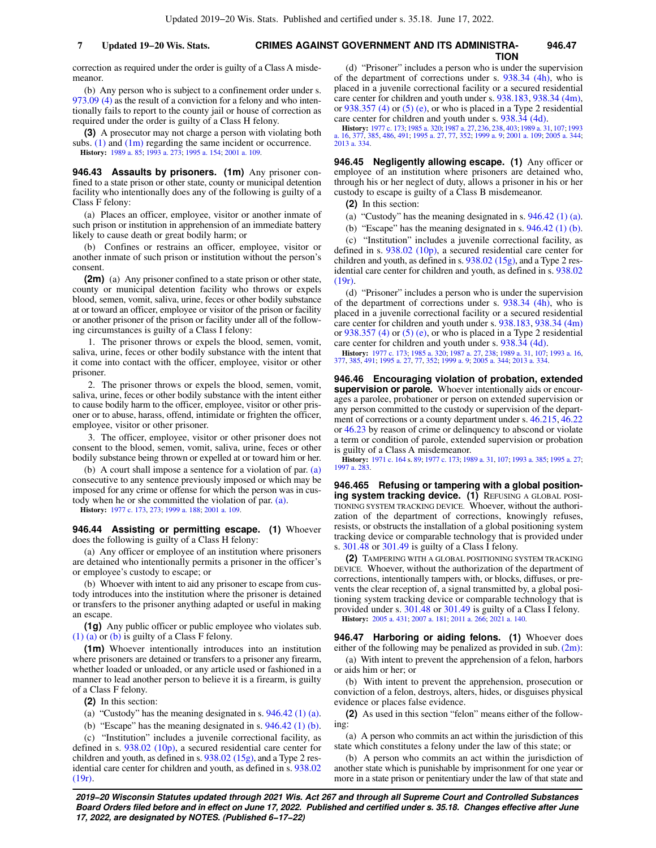#### **CRIMES AGAINST GOVERNMENT AND ITS ADMINISTRA-7 Updated 19−20 Wis. Stats. 946.47 TION**

correction as required under the order is guilty of a Class A misdemeanor

(b) Any person who is subject to a confinement order under s. [973.09 \(4\)](https://docs.legis.wisconsin.gov/document/statutes/973.09(4)) as the result of a conviction for a felony and who intentionally fails to report to the county jail or house of correction as required under the order is guilty of a Class H felony.

**(3)** A prosecutor may not charge a person with violating both subs.  $(1)$  and  $(1m)$  regarding the same incident or occurrence. **History:** [1989 a. 85;](https://docs.legis.wisconsin.gov/document/acts/1989/85) [1993 a. 273;](https://docs.legis.wisconsin.gov/document/acts/1993/273) [1995 a. 154](https://docs.legis.wisconsin.gov/document/acts/1995/154); [2001 a. 109.](https://docs.legis.wisconsin.gov/document/acts/2001/109)

**946.43 Assaults by prisoners. (1m)** Any prisoner confined to a state prison or other state, county or municipal detention facility who intentionally does any of the following is guilty of a Class F felony:

(a) Places an officer, employee, visitor or another inmate of such prison or institution in apprehension of an immediate battery likely to cause death or great bodily harm; or

(b) Confines or restrains an officer, employee, visitor or another inmate of such prison or institution without the person's consent.

**(2m)** (a) Any prisoner confined to a state prison or other state, county or municipal detention facility who throws or expels blood, semen, vomit, saliva, urine, feces or other bodily substance at or toward an officer, employee or visitor of the prison or facility or another prisoner of the prison or facility under all of the following circumstances is guilty of a Class I felony:

1. The prisoner throws or expels the blood, semen, vomit, saliva, urine, feces or other bodily substance with the intent that it come into contact with the officer, employee, visitor or other prisoner.

2. The prisoner throws or expels the blood, semen, vomit, saliva, urine, feces or other bodily substance with the intent either to cause bodily harm to the officer, employee, visitor or other prisoner or to abuse, harass, offend, intimidate or frighten the officer, employee, visitor or other prisoner.

3. The officer, employee, visitor or other prisoner does not consent to the blood, semen, vomit, saliva, urine, feces or other bodily substance being thrown or expelled at or toward him or her.

(b) A court shall impose a sentence for a violation of par. [\(a\)](https://docs.legis.wisconsin.gov/document/statutes/946.43(2m)(a)) consecutive to any sentence previously imposed or which may be imposed for any crime or offense for which the person was in custody when he or she committed the violation of par. [\(a\)](https://docs.legis.wisconsin.gov/document/statutes/946.43(2m)(a)).

**History:** [1977 c. 173](https://docs.legis.wisconsin.gov/document/acts/1977/173), [273](https://docs.legis.wisconsin.gov/document/acts/1977/273); [1999 a. 188](https://docs.legis.wisconsin.gov/document/acts/1999/188); [2001 a. 109.](https://docs.legis.wisconsin.gov/document/acts/2001/109)

**946.44 Assisting or permitting escape. (1)** Whoever does the following is guilty of a Class H felony:

(a) Any officer or employee of an institution where prisoners are detained who intentionally permits a prisoner in the officer's or employee's custody to escape; or

(b) Whoever with intent to aid any prisoner to escape from custody introduces into the institution where the prisoner is detained or transfers to the prisoner anything adapted or useful in making an escape.

**(1g)** Any public officer or public employee who violates sub. [\(1\) \(a\)](https://docs.legis.wisconsin.gov/document/statutes/946.44(1)(a)) or [\(b\)](https://docs.legis.wisconsin.gov/document/statutes/946.44(1)(b)) is guilty of a Class F felony.

**(1m)** Whoever intentionally introduces into an institution where prisoners are detained or transfers to a prisoner any firearm, whether loaded or unloaded, or any article used or fashioned in a manner to lead another person to believe it is a firearm, is guilty of a Class F felony.

**(2)** In this section:

(a) "Custody" has the meaning designated in s.  $946.42$  (1) (a).

(b) "Escape" has the meaning designated in s.  $946.42$  (1) (b).

(c) "Institution" includes a juvenile correctional facility, as defined in s. [938.02 \(10p\),](https://docs.legis.wisconsin.gov/document/statutes/938.02(10p)) a secured residential care center for children and youth, as defined in s. [938.02 \(15g\),](https://docs.legis.wisconsin.gov/document/statutes/938.02(15g)) and a Type 2 residential care center for children and youth, as defined in s. [938.02](https://docs.legis.wisconsin.gov/document/statutes/938.02(19r)) [\(19r\).](https://docs.legis.wisconsin.gov/document/statutes/938.02(19r))

(d) "Prisoner" includes a person who is under the supervision of the department of corrections under s. [938.34 \(4h\)](https://docs.legis.wisconsin.gov/document/statutes/938.34(4h)), who is placed in a juvenile correctional facility or a secured residential care center for children and youth under s. [938.183,](https://docs.legis.wisconsin.gov/document/statutes/938.183) [938.34 \(4m\),](https://docs.legis.wisconsin.gov/document/statutes/938.34(4m)) or  $938.357$  (4) or [\(5\) \(e\)](https://docs.legis.wisconsin.gov/document/statutes/938.357(5)(e)), or who is placed in a Type 2 residential care center for children and youth under s. [938.34 \(4d\).](https://docs.legis.wisconsin.gov/document/statutes/938.34(4d))

**History:** [1977 c. 173;](https://docs.legis.wisconsin.gov/document/acts/1977/173) [1985 a. 320](https://docs.legis.wisconsin.gov/document/acts/1985/320); [1987 a. 27](https://docs.legis.wisconsin.gov/document/acts/1987/27), [236](https://docs.legis.wisconsin.gov/document/acts/1987/236), [238,](https://docs.legis.wisconsin.gov/document/acts/1987/238) [403](https://docs.legis.wisconsin.gov/document/acts/1987/403); [1989 a. 31,](https://docs.legis.wisconsin.gov/document/acts/1989/31) [107](https://docs.legis.wisconsin.gov/document/acts/1989/107); [1993](https://docs.legis.wisconsin.gov/document/acts/1993/16) [a. 16,](https://docs.legis.wisconsin.gov/document/acts/1993/16) [377,](https://docs.legis.wisconsin.gov/document/acts/1993/377) [385,](https://docs.legis.wisconsin.gov/document/acts/1993/385) [486,](https://docs.legis.wisconsin.gov/document/acts/1993/486) [491;](https://docs.legis.wisconsin.gov/document/acts/1993/491) [1995 a. 27](https://docs.legis.wisconsin.gov/document/acts/1995/27), [77,](https://docs.legis.wisconsin.gov/document/acts/1995/77) [352;](https://docs.legis.wisconsin.gov/document/acts/1995/352) [1999 a. 9](https://docs.legis.wisconsin.gov/document/acts/1999/9); [2001 a. 109;](https://docs.legis.wisconsin.gov/document/acts/2001/109) [2005 a. 344](https://docs.legis.wisconsin.gov/document/acts/2005/344); [2013 a. 334.](https://docs.legis.wisconsin.gov/document/acts/2013/334)

**946.45 Negligently allowing escape. (1)** Any officer or employee of an institution where prisoners are detained who, through his or her neglect of duty, allows a prisoner in his or her custody to escape is guilty of a Class B misdemeanor.

**(2)** In this section:

(a) "Custody" has the meaning designated in s. [946.42 \(1\) \(a\).](https://docs.legis.wisconsin.gov/document/statutes/946.42(1)(a))

(b) "Escape" has the meaning designated in s.  $946.42$  (1) (b).

(c) "Institution" includes a juvenile correctional facility, as defined in s. [938.02 \(10p\),](https://docs.legis.wisconsin.gov/document/statutes/938.02(10p)) a secured residential care center for children and youth, as defined in s. [938.02 \(15g\),](https://docs.legis.wisconsin.gov/document/statutes/938.02(15g)) and a Type 2 residential care center for children and youth, as defined in s. [938.02](https://docs.legis.wisconsin.gov/document/statutes/938.02(19r)) [\(19r\)](https://docs.legis.wisconsin.gov/document/statutes/938.02(19r)).

(d) "Prisoner" includes a person who is under the supervision of the department of corrections under s. [938.34 \(4h\)](https://docs.legis.wisconsin.gov/document/statutes/938.34(4h)), who is placed in a juvenile correctional facility or a secured residential care center for children and youth under s. [938.183](https://docs.legis.wisconsin.gov/document/statutes/938.183), [938.34 \(4m\)](https://docs.legis.wisconsin.gov/document/statutes/938.34(4m)) or [938.357 \(4\)](https://docs.legis.wisconsin.gov/document/statutes/938.357(4)) or [\(5\) \(e\)](https://docs.legis.wisconsin.gov/document/statutes/938.357(5)(e)), or who is placed in a Type 2 residential care center for children and youth under s. [938.34 \(4d\).](https://docs.legis.wisconsin.gov/document/statutes/938.34(4d))

**History:** [1977 c. 173](https://docs.legis.wisconsin.gov/document/acts/1977/173); [1985 a. 320](https://docs.legis.wisconsin.gov/document/acts/1985/320); [1987 a. 27](https://docs.legis.wisconsin.gov/document/acts/1987/27), [238](https://docs.legis.wisconsin.gov/document/acts/1987/238); [1989 a. 31,](https://docs.legis.wisconsin.gov/document/acts/1989/31) [107;](https://docs.legis.wisconsin.gov/document/acts/1989/107) [1993 a. 16](https://docs.legis.wisconsin.gov/document/acts/1993/16), [377,](https://docs.legis.wisconsin.gov/document/acts/1993/377) [385,](https://docs.legis.wisconsin.gov/document/acts/1993/385) [491;](https://docs.legis.wisconsin.gov/document/acts/1993/491) [1995 a. 27,](https://docs.legis.wisconsin.gov/document/acts/1995/27) [77](https://docs.legis.wisconsin.gov/document/acts/1995/77), [352](https://docs.legis.wisconsin.gov/document/acts/1995/352); [1999 a. 9](https://docs.legis.wisconsin.gov/document/acts/1999/9); [2005 a. 344;](https://docs.legis.wisconsin.gov/document/acts/2005/344) [2013 a. 334](https://docs.legis.wisconsin.gov/document/acts/2013/334).

**946.46 Encouraging violation of probation, extended supervision or parole.** Whoever intentionally aids or encourages a parolee, probationer or person on extended supervision or any person committed to the custody or supervision of the department of corrections or a county department under s. [46.215](https://docs.legis.wisconsin.gov/document/statutes/46.215), [46.22](https://docs.legis.wisconsin.gov/document/statutes/46.22) or [46.23](https://docs.legis.wisconsin.gov/document/statutes/46.23) by reason of crime or delinquency to abscond or violate a term or condition of parole, extended supervision or probation is guilty of a Class A misdemeanor.

**History:** [1971 c. 164](https://docs.legis.wisconsin.gov/document/acts/1971/164) s. [89](https://docs.legis.wisconsin.gov/document/acts/1971/164,%20s.%2089); [1977 c. 173;](https://docs.legis.wisconsin.gov/document/acts/1977/173) [1989 a. 31](https://docs.legis.wisconsin.gov/document/acts/1989/31), [107;](https://docs.legis.wisconsin.gov/document/acts/1989/107) [1993 a. 385](https://docs.legis.wisconsin.gov/document/acts/1993/385); [1995 a. 27](https://docs.legis.wisconsin.gov/document/acts/1995/27); [1997 a. 283.](https://docs.legis.wisconsin.gov/document/acts/1997/283)

**946.465 Refusing or tampering with a global positioning system tracking device. (1)** REFUSING A GLOBAL POSI-TIONING SYSTEM TRACKING DEVICE. Whoever, without the authorization of the department of corrections, knowingly refuses, resists, or obstructs the installation of a global positioning system tracking device or comparable technology that is provided under s. [301.48](https://docs.legis.wisconsin.gov/document/statutes/301.48) or [301.49](https://docs.legis.wisconsin.gov/document/statutes/301.49) is guilty of a Class I felony.

**(2)** TAMPERING WITH A GLOBAL POSITIONING SYSTEM TRACKING DEVICE. Whoever, without the authorization of the department of corrections, intentionally tampers with, or blocks, diffuses, or prevents the clear reception of, a signal transmitted by, a global positioning system tracking device or comparable technology that is provided under s. [301.48](https://docs.legis.wisconsin.gov/document/statutes/301.48) or [301.49](https://docs.legis.wisconsin.gov/document/statutes/301.49) is guilty of a Class I felony. **History:** [2005 a. 431;](https://docs.legis.wisconsin.gov/document/acts/2005/431) [2007 a. 181](https://docs.legis.wisconsin.gov/document/acts/2007/181); [2011 a. 266;](https://docs.legis.wisconsin.gov/document/acts/2011/266) [2021 a. 140](https://docs.legis.wisconsin.gov/document/acts/2021/140).

**946.47 Harboring or aiding felons. (1)** Whoever does either of the following may be penalized as provided in sub.[\(2m\):](https://docs.legis.wisconsin.gov/document/statutes/946.47(2m))

(a) With intent to prevent the apprehension of a felon, harbors or aids him or her; or

(b) With intent to prevent the apprehension, prosecution or conviction of a felon, destroys, alters, hides, or disguises physical evidence or places false evidence.

**(2)** As used in this section "felon" means either of the following:

(a) A person who commits an act within the jurisdiction of this state which constitutes a felony under the law of this state; or

(b) A person who commits an act within the jurisdiction of another state which is punishable by imprisonment for one year or more in a state prison or penitentiary under the law of that state and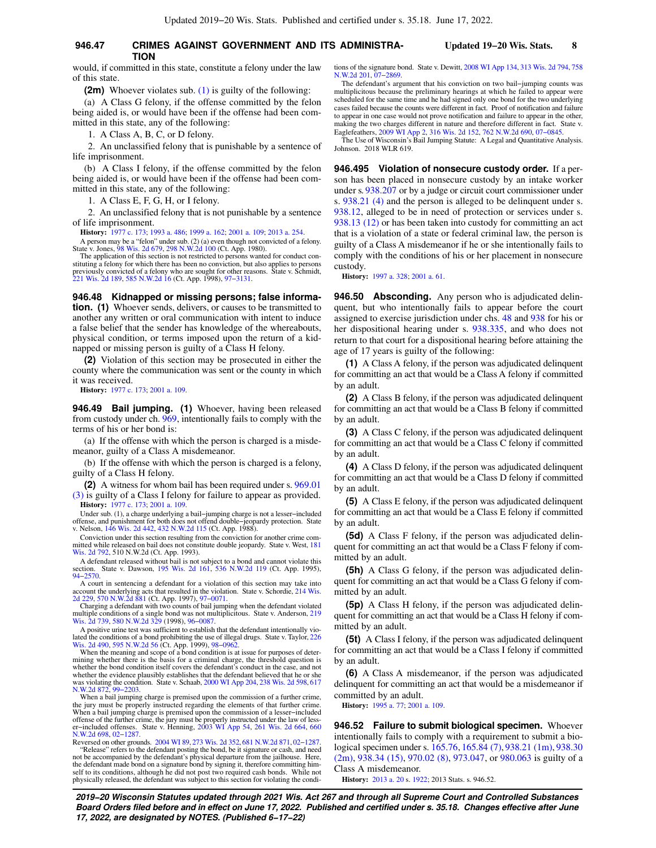#### **946.47 CRIMES AGAINST GOVERNMENT AND ITS ADMINISTRA- Updated 19−20 Wis. Stats. 8 TION**

would, if committed in this state, constitute a felony under the law of this state.

**(2m)** Whoever violates sub. [\(1\)](https://docs.legis.wisconsin.gov/document/statutes/946.47(1)) is guilty of the following:

(a) A Class G felony, if the offense committed by the felon being aided is, or would have been if the offense had been committed in this state, any of the following:

1. A Class A, B, C, or D felony.

2. An unclassified felony that is punishable by a sentence of life imprisonment.

(b) A Class I felony, if the offense committed by the felon being aided is, or would have been if the offense had been committed in this state, any of the following:

1. A Class E, F, G, H, or I felony.

2. An unclassified felony that is not punishable by a sentence of life imprisonment.

**History:** [1977 c. 173](https://docs.legis.wisconsin.gov/document/acts/1977/173); [1993 a. 486](https://docs.legis.wisconsin.gov/document/acts/1993/486); [1999 a. 162;](https://docs.legis.wisconsin.gov/document/acts/1999/162) [2001 a. 109](https://docs.legis.wisconsin.gov/document/acts/2001/109); [2013 a. 254](https://docs.legis.wisconsin.gov/document/acts/2013/254).

A person may be a "felon" under sub. (2) (a) even though not convicted of a felony. State v. Jones, [98 Wis. 2d 679,](https://docs.legis.wisconsin.gov/document/courts/98%20Wis.%202d%20679) [298 N.W.2d 100](https://docs.legis.wisconsin.gov/document/courts/298%20N.W.2d%20100) (Ct. App. 1980).

The application of this section is not restricted to persons wanted for conduct con-stituting a felony for which there has been no conviction, but also applies to persons<br>previously convicted of a felony who are sought for other reasons. State v. Schmidt,<br>[221 Wis. 2d 189,](https://docs.legis.wisconsin.gov/document/courts/221%20Wis.%202d%20189) [585 N.W.2d 16](https://docs.legis.wisconsin.gov/document/courts/585%20N.W.2d%2016) (Ct. App. 1998), 97

**946.48 Kidnapped or missing persons; false information. (1)** Whoever sends, delivers, or causes to be transmitted to another any written or oral communication with intent to induce a false belief that the sender has knowledge of the whereabouts, physical condition, or terms imposed upon the return of a kidnapped or missing person is guilty of a Class H felony.

**(2)** Violation of this section may be prosecuted in either the county where the communication was sent or the county in which it was received.

**History:** [1977 c. 173](https://docs.legis.wisconsin.gov/document/acts/1977/173); [2001 a. 109](https://docs.legis.wisconsin.gov/document/acts/2001/109).

**946.49 Bail jumping. (1)** Whoever, having been released from custody under ch. [969](https://docs.legis.wisconsin.gov/document/statutes/ch.%20969), intentionally fails to comply with the terms of his or her bond is:

(a) If the offense with which the person is charged is a misdemeanor, guilty of a Class A misdemeanor.

(b) If the offense with which the person is charged is a felony, guilty of a Class H felony.

**(2)** A witness for whom bail has been required under s. [969.01](https://docs.legis.wisconsin.gov/document/statutes/969.01(3)) [\(3\)](https://docs.legis.wisconsin.gov/document/statutes/969.01(3)) is guilty of a Class I felony for failure to appear as provided. **History:** [1977 c. 173](https://docs.legis.wisconsin.gov/document/acts/1977/173); [2001 a. 109](https://docs.legis.wisconsin.gov/document/acts/2001/109).

Under sub. (1), a charge underlying a bail−jumping charge is not a lesser−included offense, and punishment for both does not offend double−jeopardy protection. State v. Nelson, [146 Wis. 2d 442,](https://docs.legis.wisconsin.gov/document/courts/146%20Wis.%202d%20442) [432 N.W.2d 115](https://docs.legis.wisconsin.gov/document/courts/432%20N.W.2d%20115) (Ct. App. 1988).

Conviction under this section resulting from the conviction for another crime committed while released on bail does not constitute double jeopardy. State v. West, [181](https://docs.legis.wisconsin.gov/document/courts/181%20Wis.%202d%20792) [Wis. 2d 792,](https://docs.legis.wisconsin.gov/document/courts/181%20Wis.%202d%20792) 510 N.W.2d (Ct. App. 1993).

A defendant released without bail is not subject to a bond and cannot violate this section. State v. Dawson, [195 Wis. 2d 161](https://docs.legis.wisconsin.gov/document/courts/195%20Wis.%202d%20161), [536 N.W.2d 119](https://docs.legis.wisconsin.gov/document/courts/536%20N.W.2d%20119) (Ct. App. 1995), [94−2570](https://docs.legis.wisconsin.gov/document/wicourtofappeals/94-2570).

A court in sentencing a defendant for a violation of this section may take into account the underlying acts that resulted in the violation. State v. Schordie, [214 Wis.](https://docs.legis.wisconsin.gov/document/courts/214%20Wis.%202d%20229) [2d 229](https://docs.legis.wisconsin.gov/document/courts/214%20Wis.%202d%20229), [570 N.W.2d 881](https://docs.legis.wisconsin.gov/document/courts/570%20N.W.2d%20881) (Ct. App. 1997), [97−0071](https://docs.legis.wisconsin.gov/document/wicourtofappeals/97-0071).

Charging a defendant with two counts of bail jumping when the defendant violated multiple conditions of a single bond was not multiplicitous. State v. Anderson, [219](https://docs.legis.wisconsin.gov/document/courts/219%20Wis.%202d%20739) [Wis. 2d 739,](https://docs.legis.wisconsin.gov/document/courts/219%20Wis.%202d%20739) [580 N.W.2d 329](https://docs.legis.wisconsin.gov/document/courts/580%20N.W.2d%20329) (1998), 96-0087.

A positive urine test was sufficient to establish that the defendant intentionally violated the conditions of a bond prohibiting the use of illegal drugs. State v. Taylor, [226](https://docs.legis.wisconsin.gov/document/courts/226%20Wis.%202d%20490) [Wis. 2d 490,](https://docs.legis.wisconsin.gov/document/courts/226%20Wis.%202d%20490) [595 N.W.2d 56](https://docs.legis.wisconsin.gov/document/courts/595%20N.W.2d%2056) (Ct. App. 1999), [98−0962.](https://docs.legis.wisconsin.gov/document/wicourtofappeals/98-0962)

When the meaning and scope of a bond condition is at issue for purposes of deter-<br>mining whether there is the basis for a criminal charge, the threshold question is<br>whether the bond condition itself covers the defendant's whether the evidence plausibly establishes that the defendant believed that he or she was violating the condition. State v. Schaab, [2000 WI App 204](https://docs.legis.wisconsin.gov/document/courts/2000%20WI%20App%20204), [238 Wis. 2d 598,](https://docs.legis.wisconsin.gov/document/courts/238%20Wis.%202d%20598) [617](https://docs.legis.wisconsin.gov/document/courts/617%20N.W.2d%20872) [N.W.2d 872,](https://docs.legis.wisconsin.gov/document/courts/617%20N.W.2d%20872) [99−2203.](https://docs.legis.wisconsin.gov/document/wicourtofappeals/99-2203)

When a bail jumping charge is premised upon the commission of a further crime, the jury must be properly instructed regarding the elements of that further crime. When a bail jumping charge is premised upon the commission of a lesser−included offense of the further crime, the jury must be properly instructed under the law of lesser−included offenses. State v. Henning, [2003 WI App 54,](https://docs.legis.wisconsin.gov/document/courts/2003%20WI%20App%2054) [261 Wis. 2d 664](https://docs.legis.wisconsin.gov/document/courts/261%20Wis.%202d%20664), [660](https://docs.legis.wisconsin.gov/document/courts/660%20N.W.2d%20698) [N.W.2d 698,](https://docs.legis.wisconsin.gov/document/courts/660%20N.W.2d%20698) [02−1287.](https://docs.legis.wisconsin.gov/document/wicourtofappeals/02-1287)

Reversed on other grounds. [2004 WI 89,](https://docs.legis.wisconsin.gov/document/courts/2004%20WI%2089) [273 Wis. 2d 352](https://docs.legis.wisconsin.gov/document/courts/273%20Wis.%202d%20352), [681 N.W.2d 871,](https://docs.legis.wisconsin.gov/document/courts/681%20N.W.2d%20871) 02–1287.<br>"Release" refers to the defendant posting the bond, be it signature or cash, and need

not be accompanied by the defendant's physical departure from the jailhouse. Here, the defendant made bond on a signature bond by signing it, therefore committing himself to its conditions, although he did not post two required cash bonds. While not physically released, the defendant was subject to this section for violating the conditions of the signature bond. State v. Dewitt, [2008 WI App 134,](https://docs.legis.wisconsin.gov/document/courts/2008%20WI%20App%20134) [313 Wis. 2d 794,](https://docs.legis.wisconsin.gov/document/courts/313%20Wis.%202d%20794) [758](https://docs.legis.wisconsin.gov/document/courts/758%20N.W.2d%20201) [N.W.2d 201,](https://docs.legis.wisconsin.gov/document/courts/758%20N.W.2d%20201) [07−2869.](https://docs.legis.wisconsin.gov/document/wicourtofappeals/07-2869)

The defendant's argument that his conviction on two bail−jumping counts was multiplicitous because the preliminary hearings at which he failed to appear were scheduled for the same time and he had signed only one bond for the two underlying cases failed because the counts were different in fact. Proof of notification and failure to appear in one case would not prove notification and failure to appear in the other, making the two charges different in nature and therefore different in fact. State v. Eaglefeathers, [2009 WI App 2](https://docs.legis.wisconsin.gov/document/courts/2009%20WI%20App%202), [316 Wis. 2d 152](https://docs.legis.wisconsin.gov/document/courts/316%20Wis.%202d%20152), [762 N.W.2d 690,](https://docs.legis.wisconsin.gov/document/courts/762%20N.W.2d%20690) [07−0845.](https://docs.legis.wisconsin.gov/document/wicourtofappeals/07-0845)

The Use of Wisconsin's Bail Jumping Statute: A Legal and Quantitative Analysis. Johnson. 2018 WLR 619.

**946.495 Violation of nonsecure custody order.** If a person has been placed in nonsecure custody by an intake worker under s. [938.207](https://docs.legis.wisconsin.gov/document/statutes/938.207) or by a judge or circuit court commissioner under s. [938.21 \(4\)](https://docs.legis.wisconsin.gov/document/statutes/938.21(4)) and the person is alleged to be delinquent under s. [938.12,](https://docs.legis.wisconsin.gov/document/statutes/938.12) alleged to be in need of protection or services under s. [938.13 \(12\)](https://docs.legis.wisconsin.gov/document/statutes/938.13(12)) or has been taken into custody for committing an act that is a violation of a state or federal criminal law, the person is guilty of a Class A misdemeanor if he or she intentionally fails to comply with the conditions of his or her placement in nonsecure custody.

**History:** [1997 a. 328;](https://docs.legis.wisconsin.gov/document/acts/1997/328) [2001 a. 61.](https://docs.legis.wisconsin.gov/document/acts/2001/61)

**946.50 Absconding.** Any person who is adjudicated delinquent, but who intentionally fails to appear before the court assigned to exercise jurisdiction under chs. [48](https://docs.legis.wisconsin.gov/document/statutes/ch.%2048) and [938](https://docs.legis.wisconsin.gov/document/statutes/ch.%20938) for his or her dispositional hearing under s. [938.335,](https://docs.legis.wisconsin.gov/document/statutes/938.335) and who does not return to that court for a dispositional hearing before attaining the age of 17 years is guilty of the following:

**(1)** A Class A felony, if the person was adjudicated delinquent for committing an act that would be a Class A felony if committed by an adult.

**(2)** A Class B felony, if the person was adjudicated delinquent for committing an act that would be a Class B felony if committed by an adult.

**(3)** A Class C felony, if the person was adjudicated delinquent for committing an act that would be a Class C felony if committed by an adult.

**(4)** A Class D felony, if the person was adjudicated delinquent for committing an act that would be a Class D felony if committed by an adult.

**(5)** A Class E felony, if the person was adjudicated delinquent for committing an act that would be a Class E felony if committed by an adult.

**(5d)** A Class F felony, if the person was adjudicated delinquent for committing an act that would be a Class F felony if committed by an adult.

**(5h)** A Class G felony, if the person was adjudicated delinquent for committing an act that would be a Class G felony if committed by an adult.

**(5p)** A Class H felony, if the person was adjudicated delinquent for committing an act that would be a Class H felony if committed by an adult.

**(5t)** A Class I felony, if the person was adjudicated delinquent for committing an act that would be a Class I felony if committed by an adult.

**(6)** A Class A misdemeanor, if the person was adjudicated delinquent for committing an act that would be a misdemeanor if committed by an adult.

**History:** [1995 a. 77](https://docs.legis.wisconsin.gov/document/acts/1995/77); [2001 a. 109.](https://docs.legis.wisconsin.gov/document/acts/2001/109)

**946.52 Failure to submit biological specimen.** Whoever intentionally fails to comply with a requirement to submit a biological specimen under s. [165.76,](https://docs.legis.wisconsin.gov/document/statutes/165.76) [165.84 \(7\)](https://docs.legis.wisconsin.gov/document/statutes/165.84(7)), [938.21 \(1m\),](https://docs.legis.wisconsin.gov/document/statutes/938.21(1m)) [938.30](https://docs.legis.wisconsin.gov/document/statutes/938.30(2m)) [\(2m\),](https://docs.legis.wisconsin.gov/document/statutes/938.30(2m)) [938.34 \(15\)](https://docs.legis.wisconsin.gov/document/statutes/938.34(15)), [970.02 \(8\),](https://docs.legis.wisconsin.gov/document/statutes/970.02(8)) [973.047,](https://docs.legis.wisconsin.gov/document/statutes/973.047) or [980.063](https://docs.legis.wisconsin.gov/document/statutes/980.063) is guilty of a Class A misdemeanor.

**History:** [2013 a. 20](https://docs.legis.wisconsin.gov/document/acts/2013/20) s. [1922](https://docs.legis.wisconsin.gov/document/acts/2013/20,%20s.%201922); 2013 Stats. s. 946.52.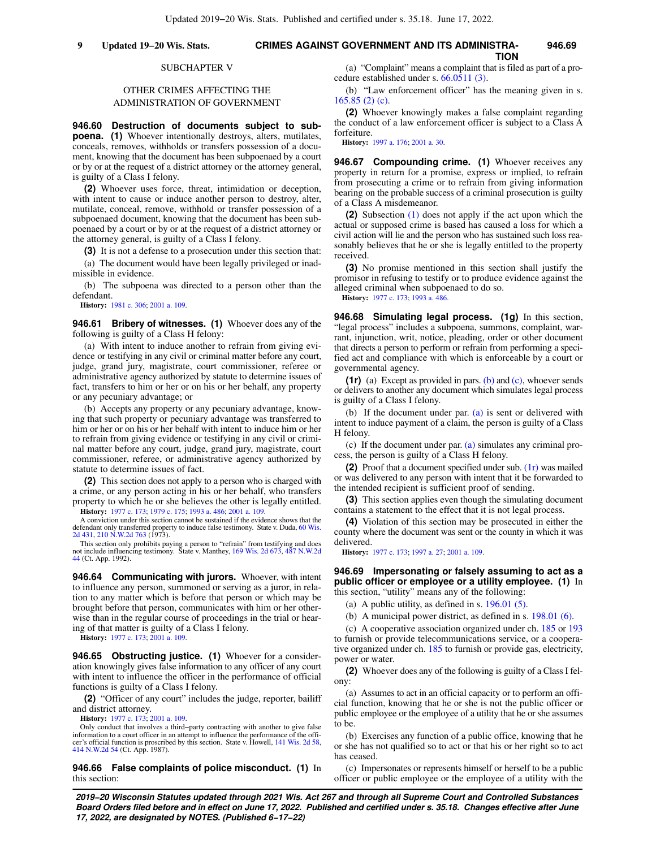#### **CRIMES AGAINST GOVERNMENT AND ITS ADMINISTRA-9 Updated 19−20 Wis. Stats. 946.69 TION**

### SUBCHAPTER V

# OTHER CRIMES AFFECTING THE ADMINISTRATION OF GOVERNMENT

**946.60 Destruction of documents subject to subpoena. (1)** Whoever intentionally destroys, alters, mutilates, conceals, removes, withholds or transfers possession of a document, knowing that the document has been subpoenaed by a court or by or at the request of a district attorney or the attorney general, is guilty of a Class I felony.

**(2)** Whoever uses force, threat, intimidation or deception, with intent to cause or induce another person to destroy, alter, mutilate, conceal, remove, withhold or transfer possession of a subpoenaed document, knowing that the document has been subpoenaed by a court or by or at the request of a district attorney or the attorney general, is guilty of a Class I felony.

**(3)** It is not a defense to a prosecution under this section that: (a) The document would have been legally privileged or inadmissible in evidence.

(b) The subpoena was directed to a person other than the defendant.

**History:** [1981 c. 306](https://docs.legis.wisconsin.gov/document/acts/1981/306); [2001 a. 109](https://docs.legis.wisconsin.gov/document/acts/2001/109).

**946.61 Bribery of witnesses. (1)** Whoever does any of the following is guilty of a Class H felony:

(a) With intent to induce another to refrain from giving evidence or testifying in any civil or criminal matter before any court, judge, grand jury, magistrate, court commissioner, referee or administrative agency authorized by statute to determine issues of fact, transfers to him or her or on his or her behalf, any property or any pecuniary advantage; or

(b) Accepts any property or any pecuniary advantage, knowing that such property or pecuniary advantage was transferred to him or her or on his or her behalf with intent to induce him or her to refrain from giving evidence or testifying in any civil or criminal matter before any court, judge, grand jury, magistrate, court commissioner, referee, or administrative agency authorized by statute to determine issues of fact.

**(2)** This section does not apply to a person who is charged with a crime, or any person acting in his or her behalf, who transfers property to which he or she believes the other is legally entitled. **History:** [1977 c. 173](https://docs.legis.wisconsin.gov/document/acts/1977/173); [1979 c. 175](https://docs.legis.wisconsin.gov/document/acts/1979/175); [1993 a. 486;](https://docs.legis.wisconsin.gov/document/acts/1993/486) [2001 a. 109](https://docs.legis.wisconsin.gov/document/acts/2001/109).

A conviction under this section cannot be sustained if the evidence shows that the defendant only transferred property to induce false testimony. State v. Duda, [60 Wis.](https://docs.legis.wisconsin.gov/document/courts/60%20Wis.%202d%20431) [2d 431](https://docs.legis.wisconsin.gov/document/courts/60%20Wis.%202d%20431), [210 N.W.2d 763](https://docs.legis.wisconsin.gov/document/courts/210%20N.W.2d%20763) (1973).

This section only prohibits paying a person to "refrain" from testifying and does not include influencing testimony. State v. Manthey, [169 Wis. 2d 673,](https://docs.legis.wisconsin.gov/document/courts/169%20Wis.%202d%20673) [487 N.W.2d](https://docs.legis.wisconsin.gov/document/courts/487%20N.W.2d%2044) [44](https://docs.legis.wisconsin.gov/document/courts/487%20N.W.2d%2044) (Ct. App. 1992).

**946.64 Communicating with jurors.** Whoever, with intent to influence any person, summoned or serving as a juror, in relation to any matter which is before that person or which may be brought before that person, communicates with him or her otherwise than in the regular course of proceedings in the trial or hearing of that matter is guilty of a Class I felony.

**History:** [1977 c. 173](https://docs.legis.wisconsin.gov/document/acts/1977/173); [2001 a. 109](https://docs.legis.wisconsin.gov/document/acts/2001/109).

**946.65 Obstructing justice. (1)** Whoever for a consideration knowingly gives false information to any officer of any court with intent to influence the officer in the performance of official functions is guilty of a Class I felony.

**(2)** "Officer of any court" includes the judge, reporter, bailiff and district attorney.

**History:** [1977 c. 173](https://docs.legis.wisconsin.gov/document/acts/1977/173); [2001 a. 109](https://docs.legis.wisconsin.gov/document/acts/2001/109).

Only conduct that involves a third−party contracting with another to give false information to a court officer in an attempt to influence the performance of the offi-cer's official function is proscribed by this section. State v. Howell, [141 Wis. 2d 58](https://docs.legis.wisconsin.gov/document/courts/141%20Wis.%202d%2058), [414 N.W.2d 54](https://docs.legis.wisconsin.gov/document/courts/414%20N.W.2d%2054) (Ct. App. 1987).

**946.66 False complaints of police misconduct. (1)** In this section:

(a) "Complaint" means a complaint that is filed as part of a procedure established under s. [66.0511 \(3\).](https://docs.legis.wisconsin.gov/document/statutes/66.0511(3))

(b) "Law enforcement officer" has the meaning given in s. [165.85 \(2\) \(c\)](https://docs.legis.wisconsin.gov/document/statutes/165.85(2)(c)).

**(2)** Whoever knowingly makes a false complaint regarding the conduct of a law enforcement officer is subject to a Class A forfeiture.

**History:** [1997 a. 176;](https://docs.legis.wisconsin.gov/document/acts/1997/176) [2001 a. 30.](https://docs.legis.wisconsin.gov/document/acts/2001/30)

**946.67 Compounding crime. (1)** Whoever receives any property in return for a promise, express or implied, to refrain from prosecuting a crime or to refrain from giving information bearing on the probable success of a criminal prosecution is guilty of a Class A misdemeanor.

**(2)** Subsection [\(1\)](https://docs.legis.wisconsin.gov/document/statutes/946.67(1)) does not apply if the act upon which the actual or supposed crime is based has caused a loss for which a civil action will lie and the person who has sustained such loss reasonably believes that he or she is legally entitled to the property received.

**(3)** No promise mentioned in this section shall justify the promisor in refusing to testify or to produce evidence against the alleged criminal when subpoenaed to do so. **History:** [1977 c. 173;](https://docs.legis.wisconsin.gov/document/acts/1977/173) [1993 a. 486](https://docs.legis.wisconsin.gov/document/acts/1993/486).

**946.68 Simulating legal process. (1g)** In this section, "legal process" includes a subpoena, summons, complaint, warrant, injunction, writ, notice, pleading, order or other document

that directs a person to perform or refrain from performing a specified act and compliance with which is enforceable by a court or governmental agency.

**(1r)** (a) Except as provided in pars. [\(b\)](https://docs.legis.wisconsin.gov/document/statutes/946.68(1r)(b)) and [\(c\),](https://docs.legis.wisconsin.gov/document/statutes/946.68(1r)(c)) whoever sends or delivers to another any document which simulates legal process is guilty of a Class I felony.

(b) If the document under par. [\(a\)](https://docs.legis.wisconsin.gov/document/statutes/946.68(1r)(a)) is sent or delivered with intent to induce payment of a claim, the person is guilty of a Class H felony.

(c) If the document under par. [\(a\)](https://docs.legis.wisconsin.gov/document/statutes/946.68(1r)(a)) simulates any criminal process, the person is guilty of a Class H felony.

**(2)** Proof that a document specified under sub. [\(1r\)](https://docs.legis.wisconsin.gov/document/statutes/946.68(1r)) was mailed or was delivered to any person with intent that it be forwarded to the intended recipient is sufficient proof of sending.

**(3)** This section applies even though the simulating document contains a statement to the effect that it is not legal process.

**(4)** Violation of this section may be prosecuted in either the county where the document was sent or the county in which it was delivered.

**History:** [1977 c. 173;](https://docs.legis.wisconsin.gov/document/acts/1977/173) [1997 a. 27;](https://docs.legis.wisconsin.gov/document/acts/1997/27) [2001 a. 109](https://docs.legis.wisconsin.gov/document/acts/2001/109).

**946.69 Impersonating or falsely assuming to act as a public officer or employee or a utility employee. (1)** In this section, "utility" means any of the following:

(a) A public utility, as defined in s.  $196.01(5)$ .

(b) A municipal power district, as defined in s. [198.01 \(6\).](https://docs.legis.wisconsin.gov/document/statutes/198.01(6))

(c) A cooperative association organized under ch. [185](https://docs.legis.wisconsin.gov/document/statutes/ch.%20185) or [193](https://docs.legis.wisconsin.gov/document/statutes/ch.%20193) to furnish or provide telecommunications service, or a cooperative organized under ch. [185](https://docs.legis.wisconsin.gov/document/statutes/ch.%20185) to furnish or provide gas, electricity, power or water.

**(2)** Whoever does any of the following is guilty of a Class I felony:

(a) Assumes to act in an official capacity or to perform an official function, knowing that he or she is not the public officer or public employee or the employee of a utility that he or she assumes to be.

(b) Exercises any function of a public office, knowing that he or she has not qualified so to act or that his or her right so to act has ceased.

(c) Impersonates or represents himself or herself to be a public officer or public employee or the employee of a utility with the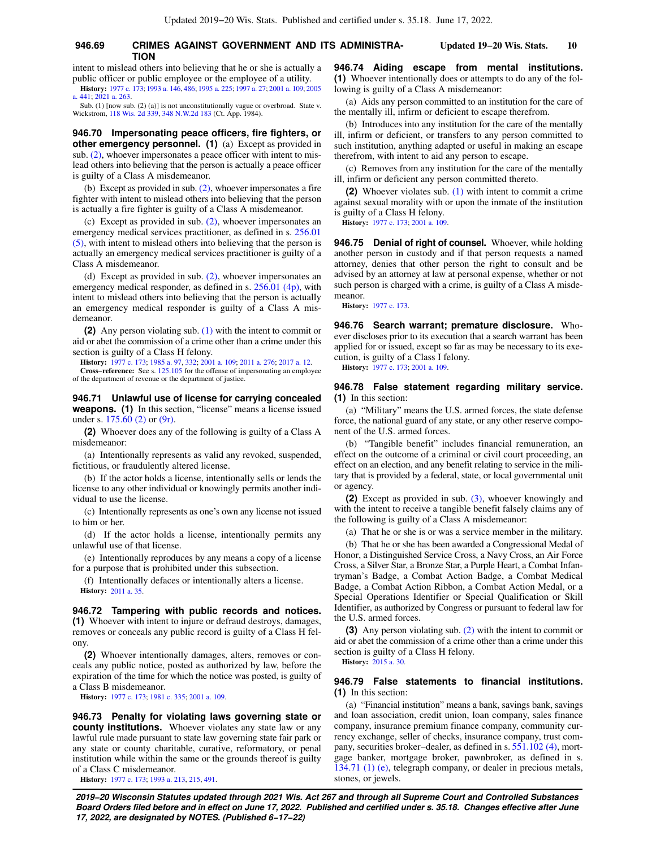#### **946.69 CRIMES AGAINST GOVERNMENT AND ITS ADMINISTRA- Updated 19−20 Wis. Stats. 10 TION**

intent to mislead others into believing that he or she is actually a public officer or public employee or the employee of a utility. **History:** [1977 c. 173;](https://docs.legis.wisconsin.gov/document/acts/1977/173) [1993 a. 146,](https://docs.legis.wisconsin.gov/document/acts/1993/146) [486](https://docs.legis.wisconsin.gov/document/acts/1993/486); [1995 a. 225;](https://docs.legis.wisconsin.gov/document/acts/1995/225) [1997 a. 27](https://docs.legis.wisconsin.gov/document/acts/1997/27); [2001 a. 109;](https://docs.legis.wisconsin.gov/document/acts/2001/109) [2005](https://docs.legis.wisconsin.gov/document/acts/2005/441) [a. 441;](https://docs.legis.wisconsin.gov/document/acts/2005/441) [2021 a. 263.](https://docs.legis.wisconsin.gov/document/acts/2021/263)

Sub. (1) [now sub. (2) (a)] is not unconstitutionally vague or overbroad. State v. Wickstrom, [118 Wis. 2d 339,](https://docs.legis.wisconsin.gov/document/courts/118%20Wis.%202d%20339) [348 N.W.2d 183](https://docs.legis.wisconsin.gov/document/courts/348%20N.W.2d%20183) (Ct. App. 1984).

**946.70 Impersonating peace officers, fire fighters, or other emergency personnel. (1)** (a) Except as provided in sub. [\(2\),](https://docs.legis.wisconsin.gov/document/statutes/946.70(2)) whoever impersonates a peace officer with intent to mislead others into believing that the person is actually a peace officer is guilty of a Class A misdemeanor.

(b) Except as provided in sub.  $(2)$ , whoever impersonates a fire fighter with intent to mislead others into believing that the person is actually a fire fighter is guilty of a Class A misdemeanor.

(c) Except as provided in sub. [\(2\),](https://docs.legis.wisconsin.gov/document/statutes/946.70(2)) whoever impersonates an emergency medical services practitioner, as defined in s. [256.01](https://docs.legis.wisconsin.gov/document/statutes/256.01(5)) [\(5\)](https://docs.legis.wisconsin.gov/document/statutes/256.01(5)), with intent to mislead others into believing that the person is actually an emergency medical services practitioner is guilty of a Class A misdemeanor.

(d) Except as provided in sub. [\(2\)](https://docs.legis.wisconsin.gov/document/statutes/946.70(2)), whoever impersonates an emergency medical responder, as defined in s.  $256.01$  (4p), with intent to mislead others into believing that the person is actually an emergency medical responder is guilty of a Class A misdemeanor.

**(2)** Any person violating sub. [\(1\)](https://docs.legis.wisconsin.gov/document/statutes/946.70(1)) with the intent to commit or aid or abet the commission of a crime other than a crime under this section is guilty of a Class H felony.

**History:** [1977 c. 173](https://docs.legis.wisconsin.gov/document/acts/1977/173); [1985 a. 97,](https://docs.legis.wisconsin.gov/document/acts/1985/97) [332;](https://docs.legis.wisconsin.gov/document/acts/1985/332) [2001 a. 109](https://docs.legis.wisconsin.gov/document/acts/2001/109); [2011 a. 276;](https://docs.legis.wisconsin.gov/document/acts/2011/276) [2017 a. 12.](https://docs.legis.wisconsin.gov/document/acts/2017/12)

**Cross−reference:** See s. [125.105](https://docs.legis.wisconsin.gov/document/statutes/125.105) for the offense of impersonating an employee of the department of revenue or the department of justice.

**946.71 Unlawful use of license for carrying concealed weapons.** (1) In this section, "license" means a license issued under s. [175.60 \(2\)](https://docs.legis.wisconsin.gov/document/statutes/175.60(2)) or [\(9r\)](https://docs.legis.wisconsin.gov/document/statutes/175.60(9r)).

**(2)** Whoever does any of the following is guilty of a Class A misdemeanor:

(a) Intentionally represents as valid any revoked, suspended, fictitious, or fraudulently altered license.

(b) If the actor holds a license, intentionally sells or lends the license to any other individual or knowingly permits another individual to use the license.

(c) Intentionally represents as one's own any license not issued to him or her.

(d) If the actor holds a license, intentionally permits any unlawful use of that license.

(e) Intentionally reproduces by any means a copy of a license for a purpose that is prohibited under this subsection.

(f) Intentionally defaces or intentionally alters a license. **History:** [2011 a. 35.](https://docs.legis.wisconsin.gov/document/acts/2011/35)

**946.72 Tampering with public records and notices. (1)** Whoever with intent to injure or defraud destroys, damages, removes or conceals any public record is guilty of a Class H felony.

**(2)** Whoever intentionally damages, alters, removes or conceals any public notice, posted as authorized by law, before the expiration of the time for which the notice was posted, is guilty of a Class B misdemeanor.

**History:** [1977 c. 173](https://docs.legis.wisconsin.gov/document/acts/1977/173); [1981 c. 335](https://docs.legis.wisconsin.gov/document/acts/1981/335); [2001 a. 109.](https://docs.legis.wisconsin.gov/document/acts/2001/109)

**946.73 Penalty for violating laws governing state or county institutions.** Whoever violates any state law or any lawful rule made pursuant to state law governing state fair park or any state or county charitable, curative, reformatory, or penal institution while within the same or the grounds thereof is guilty of a Class C misdemeanor.

**History:** [1977 c. 173](https://docs.legis.wisconsin.gov/document/acts/1977/173); [1993 a. 213](https://docs.legis.wisconsin.gov/document/acts/1993/213), [215](https://docs.legis.wisconsin.gov/document/acts/1993/215), [491](https://docs.legis.wisconsin.gov/document/acts/1993/491).

**946.74 Aiding escape from mental institutions. (1)** Whoever intentionally does or attempts to do any of the following is guilty of a Class A misdemeanor:

(a) Aids any person committed to an institution for the care of the mentally ill, infirm or deficient to escape therefrom.

(b) Introduces into any institution for the care of the mentally ill, infirm or deficient, or transfers to any person committed to such institution, anything adapted or useful in making an escape therefrom, with intent to aid any person to escape.

(c) Removes from any institution for the care of the mentally ill, infirm or deficient any person committed thereto.

**(2)** Whoever violates sub. [\(1\)](https://docs.legis.wisconsin.gov/document/statutes/946.74(1)) with intent to commit a crime against sexual morality with or upon the inmate of the institution is guilty of a Class H felony.

**History:** [1977 c. 173;](https://docs.legis.wisconsin.gov/document/acts/1977/173) [2001 a. 109](https://docs.legis.wisconsin.gov/document/acts/2001/109).

**946.75 Denial of right of counsel.** Whoever, while holding another person in custody and if that person requests a named attorney, denies that other person the right to consult and be advised by an attorney at law at personal expense, whether or not such person is charged with a crime, is guilty of a Class A misdemeanor.

**History:** [1977 c. 173.](https://docs.legis.wisconsin.gov/document/acts/1977/173)

**946.76 Search warrant; premature disclosure.** Whoever discloses prior to its execution that a search warrant has been applied for or issued, except so far as may be necessary to its execution, is guilty of a Class I felony.

**History:** [1977 c. 173;](https://docs.legis.wisconsin.gov/document/acts/1977/173) [2001 a. 109](https://docs.legis.wisconsin.gov/document/acts/2001/109).

### **946.78 False statement regarding military service. (1)** In this section:

(a) "Military" means the U.S. armed forces, the state defense force, the national guard of any state, or any other reserve component of the U.S. armed forces.

(b) "Tangible benefit" includes financial remuneration, an effect on the outcome of a criminal or civil court proceeding, an effect on an election, and any benefit relating to service in the military that is provided by a federal, state, or local governmental unit or agency.

**(2)** Except as provided in sub. [\(3\)](https://docs.legis.wisconsin.gov/document/statutes/946.78(3)), whoever knowingly and with the intent to receive a tangible benefit falsely claims any of the following is guilty of a Class A misdemeanor:

(a) That he or she is or was a service member in the military.

(b) That he or she has been awarded a Congressional Medal of Honor, a Distinguished Service Cross, a Navy Cross, an Air Force Cross, a Silver Star, a Bronze Star, a Purple Heart, a Combat Infantryman's Badge, a Combat Action Badge, a Combat Medical Badge, a Combat Action Ribbon, a Combat Action Medal, or a Special Operations Identifier or Special Qualification or Skill Identifier, as authorized by Congress or pursuant to federal law for the U.S. armed forces.

**(3)** Any person violating sub. [\(2\)](https://docs.legis.wisconsin.gov/document/statutes/946.78(2)) with the intent to commit or aid or abet the commission of a crime other than a crime under this section is guilty of a Class H felony.

**History:** [2015 a. 30](https://docs.legis.wisconsin.gov/document/acts/2015/30).

# **946.79 False statements to financial institutions. (1)** In this section:

(a) "Financial institution" means a bank, savings bank, savings and loan association, credit union, loan company, sales finance company, insurance premium finance company, community currency exchange, seller of checks, insurance company, trust company, securities broker−dealer, as defined in s. [551.102 \(4\)](https://docs.legis.wisconsin.gov/document/statutes/551.102(4)), mortgage banker, mortgage broker, pawnbroker, as defined in s. [134.71 \(1\) \(e\),](https://docs.legis.wisconsin.gov/document/statutes/134.71(1)(e)) telegraph company, or dealer in precious metals, stones, or jewels.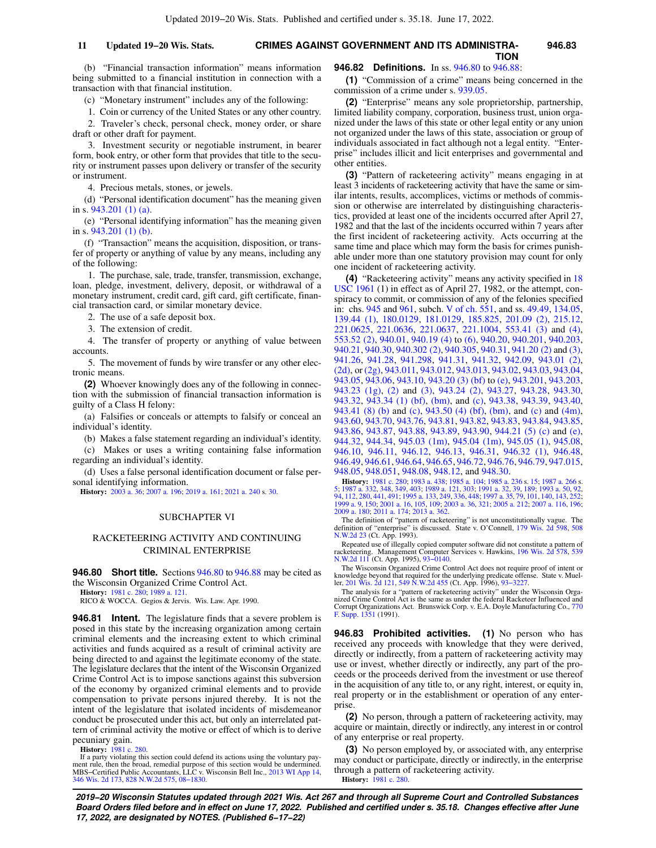# **CRIMES AGAINST GOVERNMENT AND ITS ADMINISTRA-11 Updated 19−20 Wis. Stats. 946.83**

**TION**

(b) "Financial transaction information" means information being submitted to a financial institution in connection with a transaction with that financial institution.

(c) "Monetary instrument" includes any of the following:

1. Coin or currency of the United States or any other country.

2. Traveler's check, personal check, money order, or share draft or other draft for payment.

3. Investment security or negotiable instrument, in bearer form, book entry, or other form that provides that title to the security or instrument passes upon delivery or transfer of the security or instrument.

4. Precious metals, stones, or jewels.

(d) "Personal identification document" has the meaning given in s. [943.201 \(1\) \(a\).](https://docs.legis.wisconsin.gov/document/statutes/943.201(1)(a))

(e) "Personal identifying information" has the meaning given in s. [943.201 \(1\) \(b\)](https://docs.legis.wisconsin.gov/document/statutes/943.201(1)(b)).

(f) "Transaction" means the acquisition, disposition, or transfer of property or anything of value by any means, including any of the following:

1. The purchase, sale, trade, transfer, transmission, exchange, loan, pledge, investment, delivery, deposit, or withdrawal of a monetary instrument, credit card, gift card, gift certificate, financial transaction card, or similar monetary device.

2. The use of a safe deposit box.

3. The extension of credit.

4. The transfer of property or anything of value between accounts.

5. The movement of funds by wire transfer or any other electronic means.

**(2)** Whoever knowingly does any of the following in connection with the submission of financial transaction information is guilty of a Class H felony:

(a) Falsifies or conceals or attempts to falsify or conceal an individual's identity.

(b) Makes a false statement regarding an individual's identity.

(c) Makes or uses a writing containing false information regarding an individual's identity.

(d) Uses a false personal identification document or false personal identifying information.

**History:** [2003 a. 36;](https://docs.legis.wisconsin.gov/document/acts/2003/36) [2007 a. 196;](https://docs.legis.wisconsin.gov/document/acts/2007/196) [2019 a. 161](https://docs.legis.wisconsin.gov/document/acts/2019/161); [2021 a. 240](https://docs.legis.wisconsin.gov/document/acts/2021/240) s. [30.](https://docs.legis.wisconsin.gov/document/acts/2021/240,%20s.%2030)

# SUBCHAPTER VI

# RACKETEERING ACTIVITY AND CONTINUING CRIMINAL ENTERPRISE

**946.80 Short title.** Sections [946.80](https://docs.legis.wisconsin.gov/document/statutes/946.80) to [946.88](https://docs.legis.wisconsin.gov/document/statutes/946.88) may be cited as the Wisconsin Organized Crime Control Act.

**History:** [1981 c. 280](https://docs.legis.wisconsin.gov/document/acts/1981/280); [1989 a. 121](https://docs.legis.wisconsin.gov/document/acts/1989/121).

RICO & WOCCA. Gegios & Jervis. Wis. Law. Apr. 1990.

**946.81 Intent.** The legislature finds that a severe problem is posed in this state by the increasing organization among certain criminal elements and the increasing extent to which criminal activities and funds acquired as a result of criminal activity are being directed to and against the legitimate economy of the state. The legislature declares that the intent of the Wisconsin Organized Crime Control Act is to impose sanctions against this subversion of the economy by organized criminal elements and to provide compensation to private persons injured thereby. It is not the intent of the legislature that isolated incidents of misdemeanor conduct be prosecuted under this act, but only an interrelated pattern of criminal activity the motive or effect of which is to derive pecuniary gain.

**History:** [1981 c. 280](https://docs.legis.wisconsin.gov/document/acts/1981/280).

If a party violating this section could defend its actions using the voluntary pay-ment rule, then the broad, remedial purpose of this section would be undermined.<br>MBS−Certified Public Accountants, LLC v. Wisconsin Bell Inc., [2013 WI App 14](https://docs.legis.wisconsin.gov/document/courts/2013%20WI%20App%2014), [346 Wis. 2d 173,](https://docs.legis.wisconsin.gov/document/courts/346%20Wis.%202d%20173) [828 N.W.2d 575,](https://docs.legis.wisconsin.gov/document/courts/828%20N.W.2d%20575) [08−1830.](https://docs.legis.wisconsin.gov/document/wicourtofappeals/08-1830)

# **946.82 Definitions.** In ss. [946.80](https://docs.legis.wisconsin.gov/document/statutes/946.80) to [946.88](https://docs.legis.wisconsin.gov/document/statutes/946.88):

**(1)** "Commission of a crime" means being concerned in the commission of a crime under s. [939.05.](https://docs.legis.wisconsin.gov/document/statutes/939.05)

**(2)** "Enterprise" means any sole proprietorship, partnership, limited liability company, corporation, business trust, union organized under the laws of this state or other legal entity or any union not organized under the laws of this state, association or group of individuals associated in fact although not a legal entity. "Enterprise" includes illicit and licit enterprises and governmental and other entities.

**(3)** "Pattern of racketeering activity" means engaging in at least 3 incidents of racketeering activity that have the same or similar intents, results, accomplices, victims or methods of commission or otherwise are interrelated by distinguishing characteristics, provided at least one of the incidents occurred after April 27, 1982 and that the last of the incidents occurred within 7 years after the first incident of racketeering activity. Acts occurring at the same time and place which may form the basis for crimes punishable under more than one statutory provision may count for only one incident of racketeering activity.

**(4)** "Racketeering activity" means any activity specified in [18](https://docs.legis.wisconsin.gov/document/usc/18%20USC%201961) [USC 1961](https://docs.legis.wisconsin.gov/document/usc/18%20USC%201961) (1) in effect as of April 27, 1982, or the attempt, conspiracy to commit, or commission of any of the felonies specified in: chs. [945](https://docs.legis.wisconsin.gov/document/statutes/ch.%20945) and [961,](https://docs.legis.wisconsin.gov/document/statutes/ch.%20961) subch. [V of ch. 551](https://docs.legis.wisconsin.gov/document/statutes/subch.%20V%20of%20ch.%20551), and ss. [49.49,](https://docs.legis.wisconsin.gov/document/statutes/49.49) [134.05,](https://docs.legis.wisconsin.gov/document/statutes/134.05) [139.44 \(1\)](https://docs.legis.wisconsin.gov/document/statutes/139.44(1)), [180.0129](https://docs.legis.wisconsin.gov/document/statutes/180.0129), [181.0129,](https://docs.legis.wisconsin.gov/document/statutes/181.0129) [185.825](https://docs.legis.wisconsin.gov/document/statutes/185.825), [201.09 \(2\)](https://docs.legis.wisconsin.gov/document/statutes/201.09(2)), [215.12,](https://docs.legis.wisconsin.gov/document/statutes/215.12) [221.0625,](https://docs.legis.wisconsin.gov/document/statutes/221.0625) [221.0636,](https://docs.legis.wisconsin.gov/document/statutes/221.0636) [221.0637,](https://docs.legis.wisconsin.gov/document/statutes/221.0637) [221.1004,](https://docs.legis.wisconsin.gov/document/statutes/221.1004) [553.41 \(3\)](https://docs.legis.wisconsin.gov/document/statutes/553.41(3)) and [\(4\),](https://docs.legis.wisconsin.gov/document/statutes/553.41(4)) [553.52 \(2\),](https://docs.legis.wisconsin.gov/document/statutes/553.52(2)) [940.01](https://docs.legis.wisconsin.gov/document/statutes/940.01), [940.19 \(4\)](https://docs.legis.wisconsin.gov/document/statutes/940.19(4)) to [\(6\)](https://docs.legis.wisconsin.gov/document/statutes/940.19(6)), [940.20,](https://docs.legis.wisconsin.gov/document/statutes/940.20) [940.201,](https://docs.legis.wisconsin.gov/document/statutes/940.201) [940.203,](https://docs.legis.wisconsin.gov/document/statutes/940.203) [940.21,](https://docs.legis.wisconsin.gov/document/statutes/940.21) [940.30,](https://docs.legis.wisconsin.gov/document/statutes/940.30) [940.302 \(2\),](https://docs.legis.wisconsin.gov/document/statutes/940.302(2)) [940.305,](https://docs.legis.wisconsin.gov/document/statutes/940.305) [940.31,](https://docs.legis.wisconsin.gov/document/statutes/940.31) [941.20 \(2\)](https://docs.legis.wisconsin.gov/document/statutes/941.20(2)) and [\(3\),](https://docs.legis.wisconsin.gov/document/statutes/941.20(3)) [941.26,](https://docs.legis.wisconsin.gov/document/statutes/941.26) [941.28,](https://docs.legis.wisconsin.gov/document/statutes/941.28) [941.298](https://docs.legis.wisconsin.gov/document/statutes/941.298), [941.31](https://docs.legis.wisconsin.gov/document/statutes/941.31), [941.32,](https://docs.legis.wisconsin.gov/document/statutes/941.32) [942.09,](https://docs.legis.wisconsin.gov/document/statutes/942.09) [943.01 \(2\),](https://docs.legis.wisconsin.gov/document/statutes/943.01(2)) [\(2d\)](https://docs.legis.wisconsin.gov/document/statutes/943.01(2d)), or [\(2g\)](https://docs.legis.wisconsin.gov/document/statutes/943.01(2g)), [943.011](https://docs.legis.wisconsin.gov/document/statutes/943.011), [943.012,](https://docs.legis.wisconsin.gov/document/statutes/943.012) [943.013](https://docs.legis.wisconsin.gov/document/statutes/943.013), [943.02](https://docs.legis.wisconsin.gov/document/statutes/943.02), [943.03](https://docs.legis.wisconsin.gov/document/statutes/943.03), [943.04,](https://docs.legis.wisconsin.gov/document/statutes/943.04) [943.05,](https://docs.legis.wisconsin.gov/document/statutes/943.05) [943.06](https://docs.legis.wisconsin.gov/document/statutes/943.06), [943.10,](https://docs.legis.wisconsin.gov/document/statutes/943.10) [943.20 \(3\) \(bf\)](https://docs.legis.wisconsin.gov/document/statutes/943.20(3)(bf)) to [\(e\)](https://docs.legis.wisconsin.gov/document/statutes/943.20(3)(e)), [943.201](https://docs.legis.wisconsin.gov/document/statutes/943.201), [943.203,](https://docs.legis.wisconsin.gov/document/statutes/943.203) [943.23 \(1g\),](https://docs.legis.wisconsin.gov/document/statutes/943.23(1g)) [\(2\)](https://docs.legis.wisconsin.gov/document/statutes/943.23(2)) and [\(3\),](https://docs.legis.wisconsin.gov/document/statutes/943.23(3)) [943.24 \(2\)](https://docs.legis.wisconsin.gov/document/statutes/943.24(2)), [943.27](https://docs.legis.wisconsin.gov/document/statutes/943.27), [943.28](https://docs.legis.wisconsin.gov/document/statutes/943.28), [943.30,](https://docs.legis.wisconsin.gov/document/statutes/943.30) [943.32,](https://docs.legis.wisconsin.gov/document/statutes/943.32) [943.34 \(1\) \(bf\)](https://docs.legis.wisconsin.gov/document/statutes/943.34(1)(bf)), [\(bm\)](https://docs.legis.wisconsin.gov/document/statutes/943.34(1)(bm)), and [\(c\)](https://docs.legis.wisconsin.gov/document/statutes/943.34(1)(c)), [943.38,](https://docs.legis.wisconsin.gov/document/statutes/943.38) [943.39,](https://docs.legis.wisconsin.gov/document/statutes/943.39) [943.40,](https://docs.legis.wisconsin.gov/document/statutes/943.40) [943.41 \(8\) \(b\)](https://docs.legis.wisconsin.gov/document/statutes/943.41(8)(b)) and [\(c\)](https://docs.legis.wisconsin.gov/document/statutes/943.41(8)(c)), [943.50 \(4\) \(bf\)](https://docs.legis.wisconsin.gov/document/statutes/943.50(4)(bf)), [\(bm\),](https://docs.legis.wisconsin.gov/document/statutes/943.50(4)(bm)) and [\(c\)](https://docs.legis.wisconsin.gov/document/statutes/943.50(4)(c)) and [\(4m\),](https://docs.legis.wisconsin.gov/document/statutes/943.50(4m)) [943.60,](https://docs.legis.wisconsin.gov/document/statutes/943.60) [943.70](https://docs.legis.wisconsin.gov/document/statutes/943.70), [943.76,](https://docs.legis.wisconsin.gov/document/statutes/943.76) [943.81,](https://docs.legis.wisconsin.gov/document/statutes/943.81) [943.82](https://docs.legis.wisconsin.gov/document/statutes/943.82), [943.83](https://docs.legis.wisconsin.gov/document/statutes/943.83), [943.84,](https://docs.legis.wisconsin.gov/document/statutes/943.84) [943.85,](https://docs.legis.wisconsin.gov/document/statutes/943.85) [943.86,](https://docs.legis.wisconsin.gov/document/statutes/943.86) [943.87,](https://docs.legis.wisconsin.gov/document/statutes/943.87) [943.88](https://docs.legis.wisconsin.gov/document/statutes/943.88), [943.89](https://docs.legis.wisconsin.gov/document/statutes/943.89), [943.90](https://docs.legis.wisconsin.gov/document/statutes/943.90), [944.21 \(5\) \(c\)](https://docs.legis.wisconsin.gov/document/statutes/944.21(5)(c)) and [\(e\),](https://docs.legis.wisconsin.gov/document/statutes/944.21(5)(e)) [944.32,](https://docs.legis.wisconsin.gov/document/statutes/944.32) [944.34](https://docs.legis.wisconsin.gov/document/statutes/944.34), [945.03 \(1m\),](https://docs.legis.wisconsin.gov/document/statutes/945.03(1m)) [945.04 \(1m\)](https://docs.legis.wisconsin.gov/document/statutes/945.04(1m)), [945.05 \(1\),](https://docs.legis.wisconsin.gov/document/statutes/945.05(1)) [945.08,](https://docs.legis.wisconsin.gov/document/statutes/945.08) [946.10,](https://docs.legis.wisconsin.gov/document/statutes/946.10) [946.11](https://docs.legis.wisconsin.gov/document/statutes/946.11), [946.12](https://docs.legis.wisconsin.gov/document/statutes/946.12), [946.13,](https://docs.legis.wisconsin.gov/document/statutes/946.13) [946.31,](https://docs.legis.wisconsin.gov/document/statutes/946.31) [946.32 \(1\)](https://docs.legis.wisconsin.gov/document/statutes/946.32(1)), [946.48,](https://docs.legis.wisconsin.gov/document/statutes/946.48) [946.49,](https://docs.legis.wisconsin.gov/document/statutes/946.49) [946.61,](https://docs.legis.wisconsin.gov/document/statutes/946.61) [946.64](https://docs.legis.wisconsin.gov/document/statutes/946.64), [946.65,](https://docs.legis.wisconsin.gov/document/statutes/946.65) [946.72,](https://docs.legis.wisconsin.gov/document/statutes/946.72) [946.76](https://docs.legis.wisconsin.gov/document/statutes/946.76), [946.79,](https://docs.legis.wisconsin.gov/document/statutes/946.79) [947.015,](https://docs.legis.wisconsin.gov/document/statutes/947.015) [948.05,](https://docs.legis.wisconsin.gov/document/statutes/948.05) [948.051,](https://docs.legis.wisconsin.gov/document/statutes/948.051) [948.08](https://docs.legis.wisconsin.gov/document/statutes/948.08), [948.12,](https://docs.legis.wisconsin.gov/document/statutes/948.12) and [948.30.](https://docs.legis.wisconsin.gov/document/statutes/948.30)

**History:** [1981 c. 280;](https://docs.legis.wisconsin.gov/document/acts/1981/280) [1983 a. 438;](https://docs.legis.wisconsin.gov/document/acts/1983/438) [1985 a. 104;](https://docs.legis.wisconsin.gov/document/acts/1985/104) [1985 a. 236](https://docs.legis.wisconsin.gov/document/acts/1985/236) s. [15](https://docs.legis.wisconsin.gov/document/acts/1985/236,%20s.%2015); [1987 a. 266](https://docs.legis.wisconsin.gov/document/acts/1987/266) s.<br>[5](https://docs.legis.wisconsin.gov/document/acts/1987/266,%20s.%205); [1987 a. 332](https://docs.legis.wisconsin.gov/document/acts/1987/332), [348](https://docs.legis.wisconsin.gov/document/acts/1987/348), [349](https://docs.legis.wisconsin.gov/document/acts/1987/349), [403;](https://docs.legis.wisconsin.gov/document/acts/1987/403) [1989 a. 121,](https://docs.legis.wisconsin.gov/document/acts/1989/121) [303;](https://docs.legis.wisconsin.gov/document/acts/1989/303) [1991 a. 32](https://docs.legis.wisconsin.gov/document/acts/1991/32), [39,](https://docs.legis.wisconsin.gov/document/acts/1991/39) [189;](https://docs.legis.wisconsin.gov/document/acts/1991/189) [1993 a. 50](https://docs.legis.wisconsin.gov/document/acts/1993/50), [92](https://docs.legis.wisconsin.gov/document/acts/1993/92),<br>[94](https://docs.legis.wisconsin.gov/document/acts/1993/94), [112](https://docs.legis.wisconsin.gov/document/acts/1993/112), [280,](https://docs.legis.wisconsin.gov/document/acts/1993/280) [441](https://docs.legis.wisconsin.gov/document/acts/1993/441), [491](https://docs.legis.wisconsin.gov/document/acts/1993/491); [1995 a. 133](https://docs.legis.wisconsin.gov/document/acts/1995/133), [249,](https://docs.legis.wisconsin.gov/document/acts/1995/249) [336](https://docs.legis.wisconsin.gov/document/acts/1995/336), [448;](https://docs.legis.wisconsin.gov/document/acts/1995/448) [1999 a. 9](https://docs.legis.wisconsin.gov/document/acts/1999/9), [150](https://docs.legis.wisconsin.gov/document/acts/1999/150); [2001 a. 16](https://docs.legis.wisconsin.gov/document/acts/2001/16), [105](https://docs.legis.wisconsin.gov/document/acts/2001/105), [109](https://docs.legis.wisconsin.gov/document/acts/2001/109); [2003 a. 36](https://docs.legis.wisconsin.gov/document/acts/2003/36), [321](https://docs.legis.wisconsin.gov/document/acts/2003/321); [2005 a. 212;](https://docs.legis.wisconsin.gov/document/acts/2005/212) [2007 a. 116,](https://docs.legis.wisconsin.gov/document/acts/2007/116) [196](https://docs.legis.wisconsin.gov/document/acts/2007/196); [2009 a. 180;](https://docs.legis.wisconsin.gov/document/acts/2009/180) [2011 a. 174](https://docs.legis.wisconsin.gov/document/acts/2011/174); [2013 a. 362](https://docs.legis.wisconsin.gov/document/acts/2013/362).

The definition of "pattern of racketeering" is not unconstitutionally vague. The definition of "enterprise" is discussed. State v. O'Connell, [179 Wis. 2d 598,](https://docs.legis.wisconsin.gov/document/courts/179%20Wis.%202d%20598) [508](https://docs.legis.wisconsin.gov/document/courts/508%20N.W.2d%2023) [N.W.2d 23](https://docs.legis.wisconsin.gov/document/courts/508%20N.W.2d%2023) (Ct. App. 1993).

Repeated use of illegally copied computer software did not constitute a pattern of<br>racketeering. Management Computer Services v. Hawkins, [196 Wis. 2d 578,](https://docs.legis.wisconsin.gov/document/courts/196%20Wis.%202d%20578) [539](https://docs.legis.wisconsin.gov/document/courts/539%20N.W.2d%20111)<br>[N.W.2d 111](https://docs.legis.wisconsin.gov/document/courts/539%20N.W.2d%20111) (Ct. App. 1995), [93−0140.](https://docs.legis.wisconsin.gov/document/wicourtofappeals/93-0140)

The Wisconsin Organized Crime Control Act does not require proof of intent or knowledge beyond that required for the underlying predicate offense. State v. Muel-ler, [201 Wis. 2d 121,](https://docs.legis.wisconsin.gov/document/courts/201%20Wis.%202d%20121) [549 N.W.2d 455](https://docs.legis.wisconsin.gov/document/courts/549%20N.W.2d%20455) (Ct. App. 1996), [93−3227.](https://docs.legis.wisconsin.gov/document/wicourtofappeals/93-3227)

The analysis for a "pattern of racketeering activity" under the Wisconsin Orga-nized Crime Control Act is the same as under the federal Racketeer Influenced and Corrupt Organizations Act. Brunswick Corp. v. E.A. Doyle Manufacturing Co., [770](https://docs.legis.wisconsin.gov/document/courts/770%20F.%20Supp.%201351) [F. Supp. 1351](https://docs.legis.wisconsin.gov/document/courts/770%20F.%20Supp.%201351) (1991).

**946.83 Prohibited activities. (1)** No person who has received any proceeds with knowledge that they were derived, directly or indirectly, from a pattern of racketeering activity may use or invest, whether directly or indirectly, any part of the proceeds or the proceeds derived from the investment or use thereof in the acquisition of any title to, or any right, interest, or equity in, real property or in the establishment or operation of any enterprise.

**(2)** No person, through a pattern of racketeering activity, may acquire or maintain, directly or indirectly, any interest in or control of any enterprise or real property.

**(3)** No person employed by, or associated with, any enterprise may conduct or participate, directly or indirectly, in the enterprise through a pattern of racketeering activity. **History:** [1981 c. 280.](https://docs.legis.wisconsin.gov/document/acts/1981/280)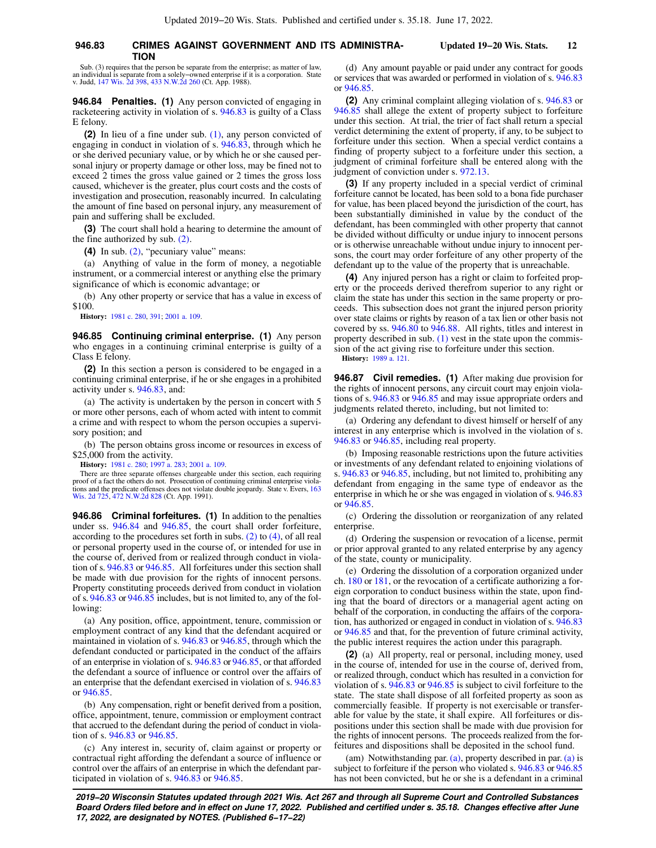#### **946.83 CRIMES AGAINST GOVERNMENT AND ITS ADMINISTRA- Updated 19−20 Wis. Stats. 12 TION**

Sub. (3) requires that the person be separate from the enterprise; as matter of law, an individual is separate from a solely−owned enterprise if it is a corporation. State v. Judd, [147 Wis. 2d 398](https://docs.legis.wisconsin.gov/document/courts/147%20Wis.%202d%20398), [433 N.W.2d 260](https://docs.legis.wisconsin.gov/document/courts/433%20N.W.2d%20260) (Ct. App. 1988).

**946.84 Penalties. (1)** Any person convicted of engaging in racketeering activity in violation of s. [946.83](https://docs.legis.wisconsin.gov/document/statutes/946.83) is guilty of a Class E felony.

**(2)** In lieu of a fine under sub. [\(1\),](https://docs.legis.wisconsin.gov/document/statutes/946.84(1)) any person convicted of engaging in conduct in violation of s. [946.83,](https://docs.legis.wisconsin.gov/document/statutes/946.83) through which he or she derived pecuniary value, or by which he or she caused personal injury or property damage or other loss, may be fined not to exceed 2 times the gross value gained or 2 times the gross loss caused, whichever is the greater, plus court costs and the costs of investigation and prosecution, reasonably incurred. In calculating the amount of fine based on personal injury, any measurement of pain and suffering shall be excluded.

**(3)** The court shall hold a hearing to determine the amount of the fine authorized by sub. [\(2\).](https://docs.legis.wisconsin.gov/document/statutes/946.84(2))

**(4)** In sub. [\(2\),](https://docs.legis.wisconsin.gov/document/statutes/946.84(2)) "pecuniary value" means:

(a) Anything of value in the form of money, a negotiable instrument, or a commercial interest or anything else the primary significance of which is economic advantage; or

(b) Any other property or service that has a value in excess of \$100.

**History:** [1981 c. 280](https://docs.legis.wisconsin.gov/document/acts/1981/280), [391](https://docs.legis.wisconsin.gov/document/acts/1981/391); [2001 a. 109](https://docs.legis.wisconsin.gov/document/acts/2001/109).

**946.85 Continuing criminal enterprise. (1)** Any person who engages in a continuing criminal enterprise is guilty of a Class E felony.

**(2)** In this section a person is considered to be engaged in a continuing criminal enterprise, if he or she engages in a prohibited activity under s. [946.83](https://docs.legis.wisconsin.gov/document/statutes/946.83), and:

(a) The activity is undertaken by the person in concert with 5 or more other persons, each of whom acted with intent to commit a crime and with respect to whom the person occupies a supervisory position; and

(b) The person obtains gross income or resources in excess of \$25,000 from the activity.

**History:** [1981 c. 280](https://docs.legis.wisconsin.gov/document/acts/1981/280); [1997 a. 283](https://docs.legis.wisconsin.gov/document/acts/1997/283); [2001 a. 109.](https://docs.legis.wisconsin.gov/document/acts/2001/109)

There are three separate offenses chargeable under this section, each requiring proof of a fact the others do not. Prosecution of continuing criminal enterprise viola-tions and the predicate offenses does not violate double jeopardy. State v. Evers, [163](https://docs.legis.wisconsin.gov/document/courts/163%20Wis.%202d%20725) [Wis. 2d 725,](https://docs.legis.wisconsin.gov/document/courts/163%20Wis.%202d%20725) [472 N.W.2d 828](https://docs.legis.wisconsin.gov/document/courts/472%20N.W.2d%20828) (Ct. App. 1991).

**946.86 Criminal forfeitures. (1)** In addition to the penalties under ss. [946.84](https://docs.legis.wisconsin.gov/document/statutes/946.84) and [946.85](https://docs.legis.wisconsin.gov/document/statutes/946.85), the court shall order forfeiture, according to the procedures set forth in subs. [\(2\)](https://docs.legis.wisconsin.gov/document/statutes/946.86(2)) to [\(4\),](https://docs.legis.wisconsin.gov/document/statutes/946.86(4)) of all real or personal property used in the course of, or intended for use in the course of, derived from or realized through conduct in violation of s. [946.83](https://docs.legis.wisconsin.gov/document/statutes/946.83) or [946.85.](https://docs.legis.wisconsin.gov/document/statutes/946.85) All forfeitures under this section shall be made with due provision for the rights of innocent persons. Property constituting proceeds derived from conduct in violation of s. [946.83](https://docs.legis.wisconsin.gov/document/statutes/946.83) or [946.85](https://docs.legis.wisconsin.gov/document/statutes/946.85) includes, but is not limited to, any of the following:

(a) Any position, office, appointment, tenure, commission or employment contract of any kind that the defendant acquired or maintained in violation of s. [946.83](https://docs.legis.wisconsin.gov/document/statutes/946.83) or [946.85,](https://docs.legis.wisconsin.gov/document/statutes/946.85) through which the defendant conducted or participated in the conduct of the affairs of an enterprise in violation of s. [946.83](https://docs.legis.wisconsin.gov/document/statutes/946.83) or [946.85](https://docs.legis.wisconsin.gov/document/statutes/946.85), or that afforded the defendant a source of influence or control over the affairs of an enterprise that the defendant exercised in violation of s. [946.83](https://docs.legis.wisconsin.gov/document/statutes/946.83) or [946.85.](https://docs.legis.wisconsin.gov/document/statutes/946.85)

(b) Any compensation, right or benefit derived from a position, office, appointment, tenure, commission or employment contract that accrued to the defendant during the period of conduct in violation of s. [946.83](https://docs.legis.wisconsin.gov/document/statutes/946.83) or [946.85.](https://docs.legis.wisconsin.gov/document/statutes/946.85)

(c) Any interest in, security of, claim against or property or contractual right affording the defendant a source of influence or control over the affairs of an enterprise in which the defendant participated in violation of s. [946.83](https://docs.legis.wisconsin.gov/document/statutes/946.83) or [946.85.](https://docs.legis.wisconsin.gov/document/statutes/946.85)

(d) Any amount payable or paid under any contract for goods or services that was awarded or performed in violation of s. [946.83](https://docs.legis.wisconsin.gov/document/statutes/946.83) or [946.85.](https://docs.legis.wisconsin.gov/document/statutes/946.85)

**(2)** Any criminal complaint alleging violation of s. [946.83](https://docs.legis.wisconsin.gov/document/statutes/946.83) or [946.85](https://docs.legis.wisconsin.gov/document/statutes/946.85) shall allege the extent of property subject to forfeiture under this section. At trial, the trier of fact shall return a special verdict determining the extent of property, if any, to be subject to forfeiture under this section. When a special verdict contains a finding of property subject to a forfeiture under this section, a judgment of criminal forfeiture shall be entered along with the judgment of conviction under s. [972.13.](https://docs.legis.wisconsin.gov/document/statutes/972.13)

**(3)** If any property included in a special verdict of criminal forfeiture cannot be located, has been sold to a bona fide purchaser for value, has been placed beyond the jurisdiction of the court, has been substantially diminished in value by the conduct of the defendant, has been commingled with other property that cannot be divided without difficulty or undue injury to innocent persons or is otherwise unreachable without undue injury to innocent persons, the court may order forfeiture of any other property of the defendant up to the value of the property that is unreachable.

**(4)** Any injured person has a right or claim to forfeited property or the proceeds derived therefrom superior to any right or claim the state has under this section in the same property or proceeds. This subsection does not grant the injured person priority over state claims or rights by reason of a tax lien or other basis not covered by ss. [946.80](https://docs.legis.wisconsin.gov/document/statutes/946.80) to [946.88](https://docs.legis.wisconsin.gov/document/statutes/946.88). All rights, titles and interest in property described in sub. [\(1\)](https://docs.legis.wisconsin.gov/document/statutes/946.86(1)) vest in the state upon the commission of the act giving rise to forfeiture under this section. **History:** [1989 a. 121.](https://docs.legis.wisconsin.gov/document/acts/1989/121)

**946.87 Civil remedies. (1)** After making due provision for the rights of innocent persons, any circuit court may enjoin violations of s. [946.83](https://docs.legis.wisconsin.gov/document/statutes/946.83) or [946.85](https://docs.legis.wisconsin.gov/document/statutes/946.85) and may issue appropriate orders and judgments related thereto, including, but not limited to:

(a) Ordering any defendant to divest himself or herself of any interest in any enterprise which is involved in the violation of s. [946.83](https://docs.legis.wisconsin.gov/document/statutes/946.83) or [946.85,](https://docs.legis.wisconsin.gov/document/statutes/946.85) including real property.

(b) Imposing reasonable restrictions upon the future activities or investments of any defendant related to enjoining violations of s. [946.83](https://docs.legis.wisconsin.gov/document/statutes/946.83) or [946.85,](https://docs.legis.wisconsin.gov/document/statutes/946.85) including, but not limited to, prohibiting any defendant from engaging in the same type of endeavor as the enterprise in which he or she was engaged in violation of s. [946.83](https://docs.legis.wisconsin.gov/document/statutes/946.83) or [946.85.](https://docs.legis.wisconsin.gov/document/statutes/946.85)

(c) Ordering the dissolution or reorganization of any related enterprise.

(d) Ordering the suspension or revocation of a license, permit or prior approval granted to any related enterprise by any agency of the state, county or municipality.

(e) Ordering the dissolution of a corporation organized under ch. [180](https://docs.legis.wisconsin.gov/document/statutes/ch.%20180) or [181,](https://docs.legis.wisconsin.gov/document/statutes/ch.%20181) or the revocation of a certificate authorizing a foreign corporation to conduct business within the state, upon finding that the board of directors or a managerial agent acting on behalf of the corporation, in conducting the affairs of the corporation, has authorized or engaged in conduct in violation of s. [946.83](https://docs.legis.wisconsin.gov/document/statutes/946.83) or [946.85](https://docs.legis.wisconsin.gov/document/statutes/946.85) and that, for the prevention of future criminal activity, the public interest requires the action under this paragraph.

**(2)** (a) All property, real or personal, including money, used in the course of, intended for use in the course of, derived from, or realized through, conduct which has resulted in a conviction for violation of s. [946.83](https://docs.legis.wisconsin.gov/document/statutes/946.83) or [946.85](https://docs.legis.wisconsin.gov/document/statutes/946.85) is subject to civil forfeiture to the state. The state shall dispose of all forfeited property as soon as commercially feasible. If property is not exercisable or transferable for value by the state, it shall expire. All forfeitures or dispositions under this section shall be made with due provision for the rights of innocent persons. The proceeds realized from the forfeitures and dispositions shall be deposited in the school fund.

(am) Notwithstanding par. [\(a\)](https://docs.legis.wisconsin.gov/document/statutes/946.87(2)(a)), property described in par. [\(a\)](https://docs.legis.wisconsin.gov/document/statutes/946.87(2)(a)) is subject to forfeiture if the person who violated s. [946.83](https://docs.legis.wisconsin.gov/document/statutes/946.83) or [946.85](https://docs.legis.wisconsin.gov/document/statutes/946.85) has not been convicted, but he or she is a defendant in a criminal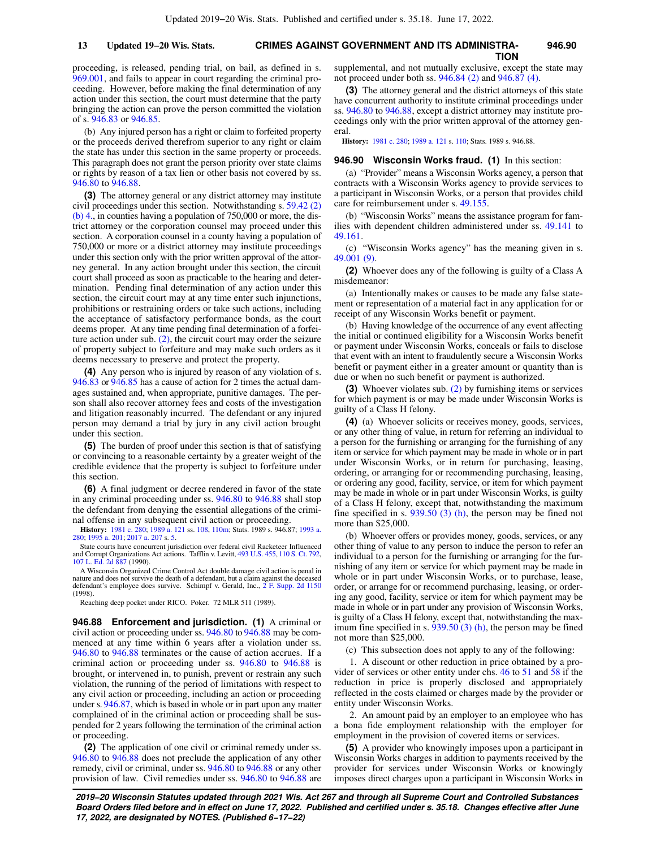### **CRIMES AGAINST GOVERNMENT AND ITS ADMINISTRA-13 Updated 19−20 Wis. Stats. 946.90 TION**

proceeding, is released, pending trial, on bail, as defined in s. [969.001](https://docs.legis.wisconsin.gov/document/statutes/969.001), and fails to appear in court regarding the criminal proceeding. However, before making the final determination of any action under this section, the court must determine that the party bringing the action can prove the person committed the violation of s. [946.83](https://docs.legis.wisconsin.gov/document/statutes/946.83) or [946.85.](https://docs.legis.wisconsin.gov/document/statutes/946.85)

(b) Any injured person has a right or claim to forfeited property or the proceeds derived therefrom superior to any right or claim the state has under this section in the same property or proceeds. This paragraph does not grant the person priority over state claims or rights by reason of a tax lien or other basis not covered by ss. [946.80](https://docs.legis.wisconsin.gov/document/statutes/946.80) to [946.88](https://docs.legis.wisconsin.gov/document/statutes/946.88).

**(3)** The attorney general or any district attorney may institute civil proceedings under this section. Notwithstanding s. [59.42 \(2\)](https://docs.legis.wisconsin.gov/document/statutes/59.42(2)(b)4.) [\(b\) 4.,](https://docs.legis.wisconsin.gov/document/statutes/59.42(2)(b)4.) in counties having a population of 750,000 or more, the district attorney or the corporation counsel may proceed under this section. A corporation counsel in a county having a population of 750,000 or more or a district attorney may institute proceedings under this section only with the prior written approval of the attorney general. In any action brought under this section, the circuit court shall proceed as soon as practicable to the hearing and determination. Pending final determination of any action under this section, the circuit court may at any time enter such injunctions, prohibitions or restraining orders or take such actions, including the acceptance of satisfactory performance bonds, as the court deems proper. At any time pending final determination of a forfeiture action under sub.  $(2)$ , the circuit court may order the seizure of property subject to forfeiture and may make such orders as it deems necessary to preserve and protect the property.

**(4)** Any person who is injured by reason of any violation of s. [946.83](https://docs.legis.wisconsin.gov/document/statutes/946.83) or [946.85](https://docs.legis.wisconsin.gov/document/statutes/946.85) has a cause of action for 2 times the actual damages sustained and, when appropriate, punitive damages. The person shall also recover attorney fees and costs of the investigation and litigation reasonably incurred. The defendant or any injured person may demand a trial by jury in any civil action brought under this section.

**(5)** The burden of proof under this section is that of satisfying or convincing to a reasonable certainty by a greater weight of the credible evidence that the property is subject to forfeiture under this section.

**(6)** A final judgment or decree rendered in favor of the state in any criminal proceeding under ss. [946.80](https://docs.legis.wisconsin.gov/document/statutes/946.80) to [946.88](https://docs.legis.wisconsin.gov/document/statutes/946.88) shall stop the defendant from denying the essential allegations of the criminal offense in any subsequent civil action or proceeding.

**History:** [1981 c. 280](https://docs.legis.wisconsin.gov/document/acts/1981/280); [1989 a. 121](https://docs.legis.wisconsin.gov/document/acts/1989/121) ss. [108](https://docs.legis.wisconsin.gov/document/acts/1989/121,%20s.%20108), [110m;](https://docs.legis.wisconsin.gov/document/acts/1989/121,%20s.%20110m) Stats. 1989 s. 946.87; [1993 a.](https://docs.legis.wisconsin.gov/document/acts/1993/280) [280](https://docs.legis.wisconsin.gov/document/acts/1993/280); [1995 a. 201;](https://docs.legis.wisconsin.gov/document/acts/1995/201) [2017 a. 207](https://docs.legis.wisconsin.gov/document/acts/2017/207) s. [5](https://docs.legis.wisconsin.gov/document/acts/2017/207,%20s.%205).

State courts have concurrent jurisdiction over federal civil Racketeer Influenced and Corrupt Organizations Act actions. Tafflin v. Levitt, [493 U.S. 455,](https://docs.legis.wisconsin.gov/document/courts/493%20U.S.%20455) [110 S. Ct. 792](https://docs.legis.wisconsin.gov/document/courts/110%20S.%20Ct.%20792), [107 L. Ed. 2d 887](https://docs.legis.wisconsin.gov/document/courts/107%20L.%20Ed.%202d%20887) (1990).

A Wisconsin Organized Crime Control Act double damage civil action is penal in nature and does not survive the death of a defendant, but a claim against the deceased defendant's employee does survive. Schimpf v. Gerald, Inc.,  $2 \text{ F}$ . Supp. 2d 1150 (1998).

Reaching deep pocket under RICO. Poker. 72 MLR 511 (1989).

**946.88 Enforcement and jurisdiction. (1)** A criminal or civil action or proceeding under ss. [946.80](https://docs.legis.wisconsin.gov/document/statutes/946.80) to [946.88](https://docs.legis.wisconsin.gov/document/statutes/946.88) may be commenced at any time within 6 years after a violation under ss. [946.80](https://docs.legis.wisconsin.gov/document/statutes/946.80) to [946.88](https://docs.legis.wisconsin.gov/document/statutes/946.88) terminates or the cause of action accrues. If a criminal action or proceeding under ss. [946.80](https://docs.legis.wisconsin.gov/document/statutes/946.80) to [946.88](https://docs.legis.wisconsin.gov/document/statutes/946.88) is brought, or intervened in, to punish, prevent or restrain any such violation, the running of the period of limitations with respect to any civil action or proceeding, including an action or proceeding under s. [946.87,](https://docs.legis.wisconsin.gov/document/statutes/946.87) which is based in whole or in part upon any matter complained of in the criminal action or proceeding shall be suspended for 2 years following the termination of the criminal action or proceeding.

**(2)** The application of one civil or criminal remedy under ss. [946.80](https://docs.legis.wisconsin.gov/document/statutes/946.80) to [946.88](https://docs.legis.wisconsin.gov/document/statutes/946.88) does not preclude the application of any other remedy, civil or criminal, under ss. [946.80](https://docs.legis.wisconsin.gov/document/statutes/946.80) to [946.88](https://docs.legis.wisconsin.gov/document/statutes/946.88) or any other provision of law. Civil remedies under ss. [946.80](https://docs.legis.wisconsin.gov/document/statutes/946.80) to [946.88](https://docs.legis.wisconsin.gov/document/statutes/946.88) are supplemental, and not mutually exclusive, except the state may not proceed under both ss. [946.84 \(2\)](https://docs.legis.wisconsin.gov/document/statutes/946.84(2)) and [946.87 \(4\).](https://docs.legis.wisconsin.gov/document/statutes/946.87(4))

**(3)** The attorney general and the district attorneys of this state have concurrent authority to institute criminal proceedings under ss. [946.80](https://docs.legis.wisconsin.gov/document/statutes/946.80) to [946.88,](https://docs.legis.wisconsin.gov/document/statutes/946.88) except a district attorney may institute proceedings only with the prior written approval of the attorney general.

**History:** [1981 c. 280;](https://docs.legis.wisconsin.gov/document/acts/1981/280) [1989 a. 121](https://docs.legis.wisconsin.gov/document/acts/1989/121) s. [110;](https://docs.legis.wisconsin.gov/document/acts/1989/121,%20s.%20110) Stats. 1989 s. 946.88.

#### **946.90 Wisconsin Works fraud. (1)** In this section:

(a) "Provider" means a Wisconsin Works agency, a person that contracts with a Wisconsin Works agency to provide services to a participant in Wisconsin Works, or a person that provides child care for reimbursement under s. [49.155.](https://docs.legis.wisconsin.gov/document/statutes/49.155)

(b) "Wisconsin Works" means the assistance program for families with dependent children administered under ss. [49.141](https://docs.legis.wisconsin.gov/document/statutes/49.141) to [49.161.](https://docs.legis.wisconsin.gov/document/statutes/49.161)

(c) "Wisconsin Works agency" has the meaning given in s. [49.001 \(9\).](https://docs.legis.wisconsin.gov/document/statutes/49.001(9))

**(2)** Whoever does any of the following is guilty of a Class A misdemeanor:

(a) Intentionally makes or causes to be made any false statement or representation of a material fact in any application for or receipt of any Wisconsin Works benefit or payment.

(b) Having knowledge of the occurrence of any event affecting the initial or continued eligibility for a Wisconsin Works benefit or payment under Wisconsin Works, conceals or fails to disclose that event with an intent to fraudulently secure a Wisconsin Works benefit or payment either in a greater amount or quantity than is due or when no such benefit or payment is authorized.

**(3)** Whoever violates sub. [\(2\)](https://docs.legis.wisconsin.gov/document/statutes/946.90(2)) by furnishing items or services for which payment is or may be made under Wisconsin Works is guilty of a Class H felony.

**(4)** (a) Whoever solicits or receives money, goods, services, or any other thing of value, in return for referring an individual to a person for the furnishing or arranging for the furnishing of any item or service for which payment may be made in whole or in part under Wisconsin Works, or in return for purchasing, leasing, ordering, or arranging for or recommending purchasing, leasing, or ordering any good, facility, service, or item for which payment may be made in whole or in part under Wisconsin Works, is guilty of a Class H felony, except that, notwithstanding the maximum fine specified in s.  $939.50$  (3) (h), the person may be fined not more than \$25,000.

(b) Whoever offers or provides money, goods, services, or any other thing of value to any person to induce the person to refer an individual to a person for the furnishing or arranging for the furnishing of any item or service for which payment may be made in whole or in part under Wisconsin Works, or to purchase, lease, order, or arrange for or recommend purchasing, leasing, or ordering any good, facility, service or item for which payment may be made in whole or in part under any provision of Wisconsin Works, is guilty of a Class H felony, except that, notwithstanding the maximum fine specified in s. [939.50 \(3\) \(h\)](https://docs.legis.wisconsin.gov/document/statutes/939.50(3)(h)), the person may be fined not more than \$25,000.

(c) This subsection does not apply to any of the following:

1. A discount or other reduction in price obtained by a provider of services or other entity under chs. [46](https://docs.legis.wisconsin.gov/document/statutes/ch.%2046) to [51](https://docs.legis.wisconsin.gov/document/statutes/ch.%2051) and [58](https://docs.legis.wisconsin.gov/document/statutes/ch.%2058) if the reduction in price is properly disclosed and appropriately reflected in the costs claimed or charges made by the provider or entity under Wisconsin Works.

2. An amount paid by an employer to an employee who has a bona fide employment relationship with the employer for employment in the provision of covered items or services.

**(5)** A provider who knowingly imposes upon a participant in Wisconsin Works charges in addition to payments received by the provider for services under Wisconsin Works or knowingly imposes direct charges upon a participant in Wisconsin Works in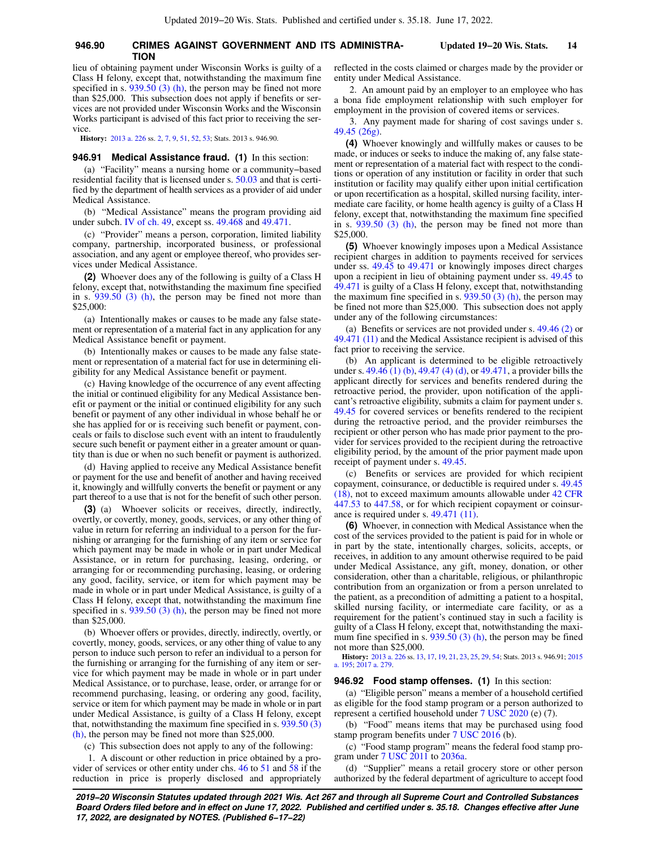#### **946.90 CRIMES AGAINST GOVERNMENT AND ITS ADMINISTRA- Updated 19−20 Wis. Stats. 14 TION**

lieu of obtaining payment under Wisconsin Works is guilty of a Class H felony, except that, notwithstanding the maximum fine specified in s. [939.50 \(3\) \(h\)](https://docs.legis.wisconsin.gov/document/statutes/939.50(3)(h)), the person may be fined not more than \$25,000. This subsection does not apply if benefits or services are not provided under Wisconsin Works and the Wisconsin Works participant is advised of this fact prior to receiving the service.

**History:** [2013 a. 226](https://docs.legis.wisconsin.gov/document/acts/2013/226) ss. [2,](https://docs.legis.wisconsin.gov/document/acts/2013/226,%20s.%202) [7,](https://docs.legis.wisconsin.gov/document/acts/2013/226,%20s.%207) [9,](https://docs.legis.wisconsin.gov/document/acts/2013/226,%20s.%209) [51](https://docs.legis.wisconsin.gov/document/acts/2013/226,%20s.%2051), [52,](https://docs.legis.wisconsin.gov/document/acts/2013/226,%20s.%2052) [53](https://docs.legis.wisconsin.gov/document/acts/2013/226,%20s.%2053); Stats. 2013 s. 946.90.

#### **946.91 Medical Assistance fraud. (1)** In this section:

(a) "Facility" means a nursing home or a community−based residential facility that is licensed under s. [50.03](https://docs.legis.wisconsin.gov/document/statutes/50.03) and that is certified by the department of health services as a provider of aid under Medical Assistance.

(b) "Medical Assistance" means the program providing aid under subch. [IV of ch. 49](https://docs.legis.wisconsin.gov/document/statutes/subch.%20IV%20of%20ch.%2049), except ss. [49.468](https://docs.legis.wisconsin.gov/document/statutes/49.468) and [49.471.](https://docs.legis.wisconsin.gov/document/statutes/49.471)

(c) "Provider" means a person, corporation, limited liability company, partnership, incorporated business, or professional association, and any agent or employee thereof, who provides services under Medical Assistance.

**(2)** Whoever does any of the following is guilty of a Class H felony, except that, notwithstanding the maximum fine specified in s.  $939.50$  (3) (h), the person may be fined not more than \$25,000:

(a) Intentionally makes or causes to be made any false statement or representation of a material fact in any application for any Medical Assistance benefit or payment.

(b) Intentionally makes or causes to be made any false statement or representation of a material fact for use in determining eligibility for any Medical Assistance benefit or payment.

(c) Having knowledge of the occurrence of any event affecting the initial or continued eligibility for any Medical Assistance benefit or payment or the initial or continued eligibility for any such benefit or payment of any other individual in whose behalf he or she has applied for or is receiving such benefit or payment, conceals or fails to disclose such event with an intent to fraudulently secure such benefit or payment either in a greater amount or quantity than is due or when no such benefit or payment is authorized.

(d) Having applied to receive any Medical Assistance benefit or payment for the use and benefit of another and having received it, knowingly and willfully converts the benefit or payment or any part thereof to a use that is not for the benefit of such other person.

**(3)** (a) Whoever solicits or receives, directly, indirectly, overtly, or covertly, money, goods, services, or any other thing of value in return for referring an individual to a person for the furnishing or arranging for the furnishing of any item or service for which payment may be made in whole or in part under Medical Assistance, or in return for purchasing, leasing, ordering, or arranging for or recommending purchasing, leasing, or ordering any good, facility, service, or item for which payment may be made in whole or in part under Medical Assistance, is guilty of a Class H felony, except that, notwithstanding the maximum fine specified in s.  $939.50$  (3) (h), the person may be fined not more than \$25,000.

(b) Whoever offers or provides, directly, indirectly, overtly, or covertly, money, goods, services, or any other thing of value to any person to induce such person to refer an individual to a person for the furnishing or arranging for the furnishing of any item or service for which payment may be made in whole or in part under Medical Assistance, or to purchase, lease, order, or arrange for or recommend purchasing, leasing, or ordering any good, facility, service or item for which payment may be made in whole or in part under Medical Assistance, is guilty of a Class H felony, except that, notwithstanding the maximum fine specified in s.  $939.50(3)$ [\(h\)](https://docs.legis.wisconsin.gov/document/statutes/939.50(3)(h)), the person may be fined not more than \$25,000.

(c) This subsection does not apply to any of the following:

1. A discount or other reduction in price obtained by a provider of services or other entity under chs. [46](https://docs.legis.wisconsin.gov/document/statutes/ch.%2046) to [51](https://docs.legis.wisconsin.gov/document/statutes/ch.%2051) and [58](https://docs.legis.wisconsin.gov/document/statutes/ch.%2058) if the reduction in price is properly disclosed and appropriately reflected in the costs claimed or charges made by the provider or entity under Medical Assistance.

2. An amount paid by an employer to an employee who has a bona fide employment relationship with such employer for employment in the provision of covered items or services.

3. Any payment made for sharing of cost savings under s. [49.45 \(26g\)](https://docs.legis.wisconsin.gov/document/statutes/49.45(26g)).

**(4)** Whoever knowingly and willfully makes or causes to be made, or induces or seeks to induce the making of, any false statement or representation of a material fact with respect to the conditions or operation of any institution or facility in order that such institution or facility may qualify either upon initial certification or upon recertification as a hospital, skilled nursing facility, intermediate care facility, or home health agency is guilty of a Class H felony, except that, notwithstanding the maximum fine specified in s.  $939.50$  (3) (h), the person may be fined not more than \$25,000.

**(5)** Whoever knowingly imposes upon a Medical Assistance recipient charges in addition to payments received for services under ss. [49.45](https://docs.legis.wisconsin.gov/document/statutes/49.45) to [49.471](https://docs.legis.wisconsin.gov/document/statutes/49.471) or knowingly imposes direct charges upon a recipient in lieu of obtaining payment under ss. [49.45](https://docs.legis.wisconsin.gov/document/statutes/49.45) to [49.471](https://docs.legis.wisconsin.gov/document/statutes/49.471) is guilty of a Class H felony, except that, notwithstanding the maximum fine specified in s. [939.50 \(3\) \(h\)](https://docs.legis.wisconsin.gov/document/statutes/939.50(3)(h)), the person may be fined not more than \$25,000. This subsection does not apply under any of the following circumstances:

(a) Benefits or services are not provided under s. [49.46 \(2\)](https://docs.legis.wisconsin.gov/document/statutes/49.46(2)) or [49.471 \(11\)](https://docs.legis.wisconsin.gov/document/statutes/49.471(11)) and the Medical Assistance recipient is advised of this fact prior to receiving the service.

(b) An applicant is determined to be eligible retroactively under s.  $49.4\overline{6}$  (1) (b),  $49.47$  (4) (d), or  $49.471$ , a provider bills the applicant directly for services and benefits rendered during the retroactive period, the provider, upon notification of the applicant's retroactive eligibility, submits a claim for payment under s. [49.45](https://docs.legis.wisconsin.gov/document/statutes/49.45) for covered services or benefits rendered to the recipient during the retroactive period, and the provider reimburses the recipient or other person who has made prior payment to the provider for services provided to the recipient during the retroactive eligibility period, by the amount of the prior payment made upon receipt of payment under s. [49.45](https://docs.legis.wisconsin.gov/document/statutes/49.45).

(c) Benefits or services are provided for which recipient copayment, coinsurance, or deductible is required under s. [49.45](https://docs.legis.wisconsin.gov/document/statutes/49.45(18)) [\(18\)](https://docs.legis.wisconsin.gov/document/statutes/49.45(18)), not to exceed maximum amounts allowable under [42 CFR](https://docs.legis.wisconsin.gov/document/cfr/42%20CFR%20447.53) [447.53](https://docs.legis.wisconsin.gov/document/cfr/42%20CFR%20447.53) to [447.58](https://docs.legis.wisconsin.gov/document/cfr/42%20CFR%20447.58), or for which recipient copayment or coinsurance is required under s. [49.471 \(11\)](https://docs.legis.wisconsin.gov/document/statutes/49.471(11)).

**(6)** Whoever, in connection with Medical Assistance when the cost of the services provided to the patient is paid for in whole or in part by the state, intentionally charges, solicits, accepts, or receives, in addition to any amount otherwise required to be paid under Medical Assistance, any gift, money, donation, or other consideration, other than a charitable, religious, or philanthropic contribution from an organization or from a person unrelated to the patient, as a precondition of admitting a patient to a hospital, skilled nursing facility, or intermediate care facility, or as a requirement for the patient's continued stay in such a facility is guilty of a Class H felony, except that, notwithstanding the maximum fine specified in s. [939.50 \(3\) \(h\)](https://docs.legis.wisconsin.gov/document/statutes/939.50(3)(h)), the person may be fined not more than \$25,000.

**History:** [2013 a. 226](https://docs.legis.wisconsin.gov/document/acts/2013/226) ss. [13,](https://docs.legis.wisconsin.gov/document/acts/2013/226,%20s.%2013) [17,](https://docs.legis.wisconsin.gov/document/acts/2013/226,%20s.%2017) [19,](https://docs.legis.wisconsin.gov/document/acts/2013/226,%20s.%2019) [21](https://docs.legis.wisconsin.gov/document/acts/2013/226,%20s.%2021), [23](https://docs.legis.wisconsin.gov/document/acts/2013/226,%20s.%2023), [25](https://docs.legis.wisconsin.gov/document/acts/2013/226,%20s.%2025), [29](https://docs.legis.wisconsin.gov/document/acts/2013/226,%20s.%2029), [54;](https://docs.legis.wisconsin.gov/document/acts/2013/226,%20s.%2054) Stats. 2013 s. 946.91; [2015](https://docs.legis.wisconsin.gov/document/acts/2015/195) [a. 195](https://docs.legis.wisconsin.gov/document/acts/2015/195); [2017 a. 279.](https://docs.legis.wisconsin.gov/document/acts/2017/279)

#### **946.92 Food stamp offenses. (1)** In this section:

(a) "Eligible person" means a member of a household certified as eligible for the food stamp program or a person authorized to represent a certified household under [7 USC 2020](https://docs.legis.wisconsin.gov/document/usc/7%20USC%202020) (e) (7).

(b) "Food" means items that may be purchased using food stamp program benefits under  $7 \text{ USC } 2016$  (b).

(c) "Food stamp program" means the federal food stamp program under [7 USC 2011](https://docs.legis.wisconsin.gov/document/usc/7%20USC%202011) to [2036a.](https://docs.legis.wisconsin.gov/document/usc/7%20USC%202036a)

(d) "Supplier" means a retail grocery store or other person authorized by the federal department of agriculture to accept food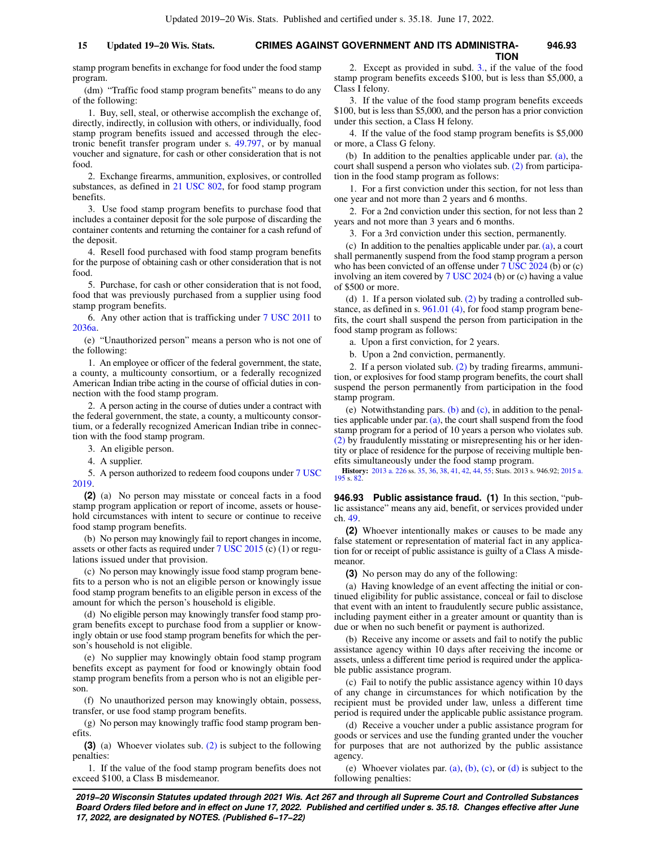# **CRIMES AGAINST GOVERNMENT AND ITS ADMINISTRA-15 Updated 19−20 Wis. Stats. 946.93**

stamp program benefits in exchange for food under the food stamp program.

(dm) "Traffic food stamp program benefits" means to do any of the following:

1. Buy, sell, steal, or otherwise accomplish the exchange of, directly, indirectly, in collusion with others, or individually, food stamp program benefits issued and accessed through the electronic benefit transfer program under s. [49.797](https://docs.legis.wisconsin.gov/document/statutes/49.797), or by manual voucher and signature, for cash or other consideration that is not food.

2. Exchange firearms, ammunition, explosives, or controlled substances, as defined in [21 USC 802](https://docs.legis.wisconsin.gov/document/usc/21%20USC%20802), for food stamp program benefits.

3. Use food stamp program benefits to purchase food that includes a container deposit for the sole purpose of discarding the container contents and returning the container for a cash refund of the deposit.

4. Resell food purchased with food stamp program benefits for the purpose of obtaining cash or other consideration that is not food.

5. Purchase, for cash or other consideration that is not food, food that was previously purchased from a supplier using food stamp program benefits.

6. Any other action that is trafficking under [7 USC 2011](https://docs.legis.wisconsin.gov/document/usc/7%20USC%202011) to [2036a.](https://docs.legis.wisconsin.gov/document/usc/7%20USC%202036a)

(e) "Unauthorized person" means a person who is not one of the following:

1. An employee or officer of the federal government, the state, a county, a multicounty consortium, or a federally recognized American Indian tribe acting in the course of official duties in connection with the food stamp program.

2. A person acting in the course of duties under a contract with the federal government, the state, a county, a multicounty consortium, or a federally recognized American Indian tribe in connection with the food stamp program.

3. An eligible person.

4. A supplier.

5. A person authorized to redeem food coupons under [7 USC](https://docs.legis.wisconsin.gov/document/usc/7%20USC%202019) [2019.](https://docs.legis.wisconsin.gov/document/usc/7%20USC%202019)

**(2)** (a) No person may misstate or conceal facts in a food stamp program application or report of income, assets or household circumstances with intent to secure or continue to receive food stamp program benefits.

(b) No person may knowingly fail to report changes in income, assets or other facts as required under [7 USC 2015](https://docs.legis.wisconsin.gov/document/usc/7%20USC%202015) (c) (1) or regulations issued under that provision.

(c) No person may knowingly issue food stamp program benefits to a person who is not an eligible person or knowingly issue food stamp program benefits to an eligible person in excess of the amount for which the person's household is eligible.

(d) No eligible person may knowingly transfer food stamp program benefits except to purchase food from a supplier or knowingly obtain or use food stamp program benefits for which the person's household is not eligible.

(e) No supplier may knowingly obtain food stamp program benefits except as payment for food or knowingly obtain food stamp program benefits from a person who is not an eligible person.

(f) No unauthorized person may knowingly obtain, possess, transfer, or use food stamp program benefits.

(g) No person may knowingly traffic food stamp program benefits.

**(3)** (a) Whoever violates sub. [\(2\)](https://docs.legis.wisconsin.gov/document/statutes/946.92(2)) is subject to the following penalties:

1. If the value of the food stamp program benefits does not exceed \$100, a Class B misdemeanor.

2. Except as provided in subd. [3.](https://docs.legis.wisconsin.gov/document/statutes/946.92(3)(a)3.), if the value of the food stamp program benefits exceeds \$100, but is less than \$5,000, a Class I felony.

**TION**

3. If the value of the food stamp program benefits exceeds \$100, but is less than \$5,000, and the person has a prior conviction under this section, a Class H felony.

4. If the value of the food stamp program benefits is \$5,000 or more, a Class G felony.

(b) In addition to the penalties applicable under par. [\(a\)](https://docs.legis.wisconsin.gov/document/statutes/946.92(3)(a)), the court shall suspend a person who violates sub. [\(2\)](https://docs.legis.wisconsin.gov/document/statutes/946.92(2)) from participation in the food stamp program as follows:

1. For a first conviction under this section, for not less than one year and not more than 2 years and 6 months.

2. For a 2nd conviction under this section, for not less than 2 years and not more than 3 years and 6 months.

3. For a 3rd conviction under this section, permanently.

(c) In addition to the penalties applicable under par. [\(a\)](https://docs.legis.wisconsin.gov/document/statutes/946.92(3)(a)), a court shall permanently suspend from the food stamp program a person who has been convicted of an offense under [7 USC 2024](https://docs.legis.wisconsin.gov/document/usc/7%20USC%202024) (b) or (c) involving an item covered by [7 USC 2024](https://docs.legis.wisconsin.gov/document/usc/7%20USC%202024) (b) or (c) having a value of \$500 or more.

(d) 1. If a person violated sub. [\(2\)](https://docs.legis.wisconsin.gov/document/statutes/946.92(2)) by trading a controlled substance, as defined in s. [961.01 \(4\)](https://docs.legis.wisconsin.gov/document/statutes/961.01(4)), for food stamp program benefits, the court shall suspend the person from participation in the food stamp program as follows:

a. Upon a first conviction, for 2 years.

b. Upon a 2nd conviction, permanently.

2. If a person violated sub. [\(2\)](https://docs.legis.wisconsin.gov/document/statutes/946.92(2)) by trading firearms, ammunition, or explosives for food stamp program benefits, the court shall suspend the person permanently from participation in the food stamp program.

(e) Notwithstanding pars. [\(b\)](https://docs.legis.wisconsin.gov/document/statutes/946.92(3)(b)) and [\(c\)](https://docs.legis.wisconsin.gov/document/statutes/946.92(3)(c)), in addition to the penalties applicable under par. [\(a\)](https://docs.legis.wisconsin.gov/document/statutes/946.92(3)(a)), the court shall suspend from the food stamp program for a period of 10 years a person who violates sub. [\(2\)](https://docs.legis.wisconsin.gov/document/statutes/946.92(2)) by fraudulently misstating or misrepresenting his or her identity or place of residence for the purpose of receiving multiple benefits simultaneously under the food stamp program.

**History:** [2013 a. 226](https://docs.legis.wisconsin.gov/document/acts/2013/226) ss. [35,](https://docs.legis.wisconsin.gov/document/acts/2013/226,%20s.%2035) [36](https://docs.legis.wisconsin.gov/document/acts/2013/226,%20s.%2036), [38,](https://docs.legis.wisconsin.gov/document/acts/2013/226,%20s.%2038) [41,](https://docs.legis.wisconsin.gov/document/acts/2013/226,%20s.%2041) [42](https://docs.legis.wisconsin.gov/document/acts/2013/226,%20s.%2042), [44,](https://docs.legis.wisconsin.gov/document/acts/2013/226,%20s.%2044) [55;](https://docs.legis.wisconsin.gov/document/acts/2013/226,%20s.%2055) Stats. 2013 s. 946.92; [2015 a.](https://docs.legis.wisconsin.gov/document/acts/2015/195) [195](https://docs.legis.wisconsin.gov/document/acts/2015/195) s. [82.](https://docs.legis.wisconsin.gov/document/acts/2015/195,%20s.%2082)

**946.93 Public assistance fraud. (1)** In this section, "public assistance" means any aid, benefit, or services provided under ch. [49](https://docs.legis.wisconsin.gov/document/statutes/ch.%2049).

**(2)** Whoever intentionally makes or causes to be made any false statement or representation of material fact in any application for or receipt of public assistance is guilty of a Class A misdemeanor.

**(3)** No person may do any of the following:

(a) Having knowledge of an event affecting the initial or continued eligibility for public assistance, conceal or fail to disclose that event with an intent to fraudulently secure public assistance, including payment either in a greater amount or quantity than is due or when no such benefit or payment is authorized.

(b) Receive any income or assets and fail to notify the public assistance agency within 10 days after receiving the income or assets, unless a different time period is required under the applicable public assistance program.

(c) Fail to notify the public assistance agency within 10 days of any change in circumstances for which notification by the recipient must be provided under law, unless a different time period is required under the applicable public assistance program.

(d) Receive a voucher under a public assistance program for goods or services and use the funding granted under the voucher for purposes that are not authorized by the public assistance agency.

(e) Whoever violates par.  $(a)$ ,  $(b)$ ,  $(c)$ , or  $(d)$  is subject to the following penalties: